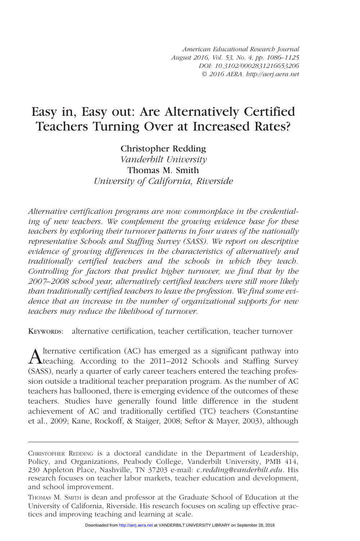American Educational Research Journal August 2016, Vol. 53, No. 4, pp. 1086–1125 DOI: 10.3102/0002831216653206 © 2016 AERA. http://aerj.aera.net

# Easy in, Easy out: Are Alternatively Certified Teachers Turning Over at Increased Rates?

Christopher Redding

Vanderbilt University Thomas M. Smith University of California, Riverside

Alternative certification programs are now commonplace in the credentialing of new teachers. We complement the growing evidence base for these teachers by exploring their turnover patterns in four waves of the nationally representative Schools and Staffing Survey (SASS). We report on descriptive evidence of growing differences in the characteristics of alternatively and traditionally certified teachers and the schools in which they teach. Controlling for factors that predict higher turnover, we find that by the 2007–2008 school year, alternatively certified teachers were still more likely than traditionally certified teachers to leave the profession. We find some evidence that an increase in the number of organizational supports for new teachers may reduce the likelihood of turnover.

KEYWORDS: alternative certification, teacher certification, teacher turnover

Alternative certification (AC) has emerged as a significant pathway into<br>teaching. According to the 2011–2012 Schools and Staffing Survey (SASS), nearly a quarter of early career teachers entered the teaching profession outside a traditional teacher preparation program. As the number of AC teachers has ballooned, there is emerging evidence of the outcomes of these teachers. Studies have generally found little difference in the student achievement of AC and traditionally certified (TC) teachers (Constantine et al., 2009; Kane, Rockoff, & Staiger, 2008; Seftor & Mayer, 2003), although

CHRISTOPHER REDDING is a doctoral candidate in the Department of Leadership, Policy, and Organizations, Peabody College, Vanderbilt University, PMB 414, 230 Appleton Place, Nashville, TN 37203 e-mail: c.redding@vanderbilt.edu. His research focuses on teacher labor markets, teacher education and development, and school improvement.

THOMAS M. SMITH is dean and professor at the Graduate School of Education at the University of California, Riverside. His research focuses on scaling up effective practices and improving teaching and learning at scale.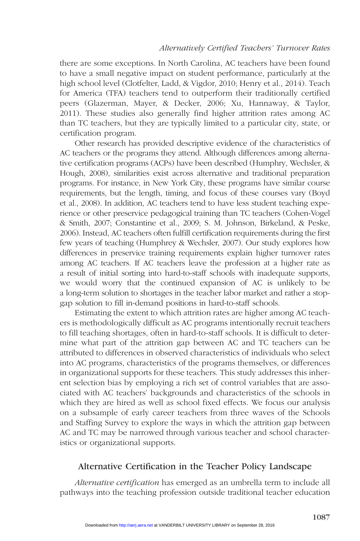#### Alternatively Certified Teachers' Turnover Rates

there are some exceptions. In North Carolina, AC teachers have been found to have a small negative impact on student performance, particularly at the high school level (Clotfelter, Ladd, & Vigdor, 2010; Henry et al., 2014). Teach for America (TFA) teachers tend to outperform their traditionally certified peers (Glazerman, Mayer, & Decker, 2006; Xu, Hannaway, & Taylor, 2011). These studies also generally find higher attrition rates among AC than TC teachers, but they are typically limited to a particular city, state, or certification program.

Other research has provided descriptive evidence of the characteristics of AC teachers or the programs they attend. Although differences among alternative certification programs (ACPs) have been described (Humphry, Wechsler, & Hough, 2008), similarities exist across alternative and traditional preparation programs. For instance, in New York City, these programs have similar course requirements, but the length, timing, and focus of these courses vary (Boyd et al., 2008). In addition, AC teachers tend to have less student teaching experience or other preservice pedagogical training than TC teachers (Cohen-Vogel & Smith, 2007; Constantine et al., 2009; S. M. Johnson, Birkeland, & Peske, 2006). Instead, AC teachers often fulfill certification requirements during the first few years of teaching (Humphrey & Wechsler, 2007). Our study explores how differences in preservice training requirements explain higher turnover rates among AC teachers. If AC teachers leave the profession at a higher rate as a result of initial sorting into hard-to-staff schools with inadequate supports, we would worry that the continued expansion of AC is unlikely to be a long-term solution to shortages in the teacher labor market and rather a stopgap solution to fill in-demand positions in hard-to-staff schools.

Estimating the extent to which attrition rates are higher among AC teachers is methodologically difficult as AC programs intentionally recruit teachers to fill teaching shortages, often in hard-to-staff schools. It is difficult to determine what part of the attrition gap between AC and TC teachers can be attributed to differences in observed characteristics of individuals who select into AC programs, characteristics of the programs themselves, or differences in organizational supports for these teachers. This study addresses this inherent selection bias by employing a rich set of control variables that are associated with AC teachers' backgrounds and characteristics of the schools in which they are hired as well as school fixed effects. We focus our analysis on a subsample of early career teachers from three waves of the Schools and Staffing Survey to explore the ways in which the attrition gap between AC and TC may be narrowed through various teacher and school characteristics or organizational supports.

## Alternative Certification in the Teacher Policy Landscape

Alternative certification has emerged as an umbrella term to include all pathways into the teaching profession outside traditional teacher education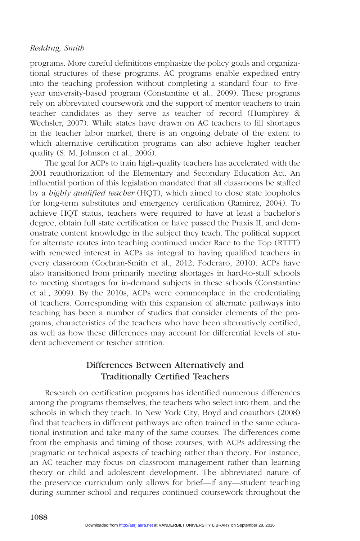programs. More careful definitions emphasize the policy goals and organizational structures of these programs. AC programs enable expedited entry into the teaching profession without completing a standard four- to fiveyear university-based program (Constantine et al., 2009). These programs rely on abbreviated coursework and the support of mentor teachers to train teacher candidates as they serve as teacher of record (Humphrey & Wechsler, 2007). While states have drawn on AC teachers to fill shortages in the teacher labor market, there is an ongoing debate of the extent to which alternative certification programs can also achieve higher teacher quality (S. M. Johnson et al., 2006).

The goal for ACPs to train high-quality teachers has accelerated with the 2001 reauthorization of the Elementary and Secondary Education Act. An influential portion of this legislation mandated that all classrooms be staffed by a highly qualified teacher (HQT), which aimed to close state loopholes for long-term substitutes and emergency certification (Ramirez, 2004). To achieve HQT status, teachers were required to have at least a bachelor's degree, obtain full state certification or have passed the Praxis II, and demonstrate content knowledge in the subject they teach. The political support for alternate routes into teaching continued under Race to the Top (RTTT) with renewed interest in ACPs as integral to having qualified teachers in every classroom (Cochran-Smith et al., 2012; Foderaro, 2010). ACPs have also transitioned from primarily meeting shortages in hard-to-staff schools to meeting shortages for in-demand subjects in these schools (Constantine et al., 2009). By the 2010s, ACPs were commonplace in the credentialing of teachers. Corresponding with this expansion of alternate pathways into teaching has been a number of studies that consider elements of the programs, characteristics of the teachers who have been alternatively certified, as well as how these differences may account for differential levels of student achievement or teacher attrition.

## Differences Between Alternatively and Traditionally Certified Teachers

Research on certification programs has identified numerous differences among the programs themselves, the teachers who select into them, and the schools in which they teach. In New York City, Boyd and coauthors (2008) find that teachers in different pathways are often trained in the same educational institution and take many of the same courses. The differences come from the emphasis and timing of those courses, with ACPs addressing the pragmatic or technical aspects of teaching rather than theory. For instance, an AC teacher may focus on classroom management rather than learning theory or child and adolescent development. The abbreviated nature of the preservice curriculum only allows for brief—if any—student teaching during summer school and requires continued coursework throughout the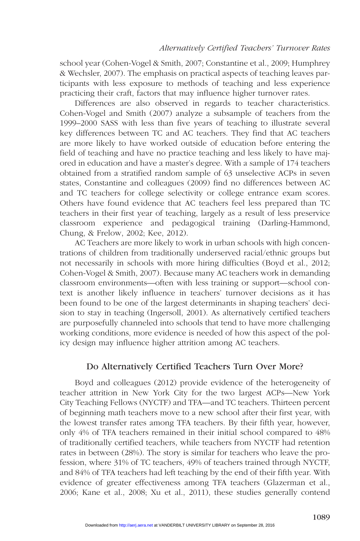school year (Cohen-Vogel & Smith, 2007; Constantine et al., 2009; Humphrey & Wechsler, 2007). The emphasis on practical aspects of teaching leaves participants with less exposure to methods of teaching and less experience practicing their craft, factors that may influence higher turnover rates.

Differences are also observed in regards to teacher characteristics. Cohen-Vogel and Smith (2007) analyze a subsample of teachers from the 1999–2000 SASS with less than five years of teaching to illustrate several key differences between TC and AC teachers. They find that AC teachers are more likely to have worked outside of education before entering the field of teaching and have no practice teaching and less likely to have majored in education and have a master's degree. With a sample of 174 teachers obtained from a stratified random sample of 63 unselective ACPs in seven states, Constantine and colleagues (2009) find no differences between AC and TC teachers for college selectivity or college entrance exam scores. Others have found evidence that AC teachers feel less prepared than TC teachers in their first year of teaching, largely as a result of less preservice classroom experience and pedagogical training (Darling-Hammond, Chung, & Frelow, 2002; Kee, 2012).

AC Teachers are more likely to work in urban schools with high concentrations of children from traditionally underserved racial/ethnic groups but not necessarily in schools with more hiring difficulties (Boyd et al., 2012; Cohen-Vogel & Smith, 2007). Because many AC teachers work in demanding classroom environments—often with less training or support—school context is another likely influence in teachers' turnover decisions as it has been found to be one of the largest determinants in shaping teachers' decision to stay in teaching (Ingersoll, 2001). As alternatively certified teachers are purposefully channeled into schools that tend to have more challenging working conditions, more evidence is needed of how this aspect of the policy design may influence higher attrition among AC teachers.

## Do Alternatively Certified Teachers Turn Over More?

Boyd and colleagues (2012) provide evidence of the heterogeneity of teacher attrition in New York City for the two largest ACPs—New York City Teaching Fellows (NYCTF) and TFA—and TC teachers. Thirteen percent of beginning math teachers move to a new school after their first year, with the lowest transfer rates among TFA teachers. By their fifth year, however, only 4% of TFA teachers remained in their initial school compared to 48% of traditionally certified teachers, while teachers from NYCTF had retention rates in between (28%). The story is similar for teachers who leave the profession, where 31% of TC teachers, 49% of teachers trained through NYCTF, and 84% of TFA teachers had left teaching by the end of their fifth year. With evidence of greater effectiveness among TFA teachers (Glazerman et al., 2006; Kane et al., 2008; Xu et al., 2011), these studies generally contend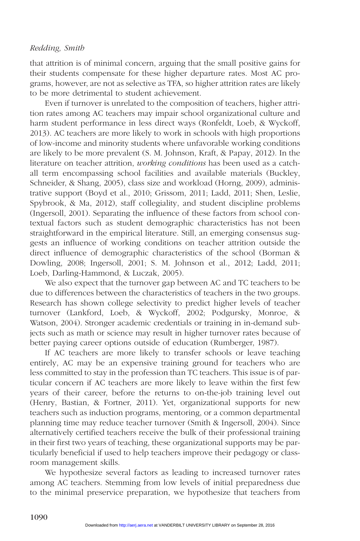that attrition is of minimal concern, arguing that the small positive gains for their students compensate for these higher departure rates. Most AC programs, however, are not as selective as TFA, so higher attrition rates are likely to be more detrimental to student achievement.

Even if turnover is unrelated to the composition of teachers, higher attrition rates among AC teachers may impair school organizational culture and harm student performance in less direct ways (Ronfeldt, Loeb, & Wyckoff, 2013). AC teachers are more likely to work in schools with high proportions of low-income and minority students where unfavorable working conditions are likely to be more prevalent (S. M. Johnson, Kraft, & Papay, 2012). In the literature on teacher attrition, working conditions has been used as a catchall term encompassing school facilities and available materials (Buckley, Schneider, & Shang, 2005), class size and workload (Horng, 2009), administrative support (Boyd et al., 2010; Grissom, 2011; Ladd, 2011; Shen, Leslie, Spybrook, & Ma, 2012), staff collegiality, and student discipline problems (Ingersoll, 2001). Separating the influence of these factors from school contextual factors such as student demographic characteristics has not been straightforward in the empirical literature. Still, an emerging consensus suggests an influence of working conditions on teacher attrition outside the direct influence of demographic characteristics of the school (Borman & Dowling, 2008; Ingersoll, 2001; S. M. Johnson et al., 2012; Ladd, 2011; Loeb, Darling-Hammond, & Luczak, 2005).

We also expect that the turnover gap between AC and TC teachers to be due to differences between the characteristics of teachers in the two groups. Research has shown college selectivity to predict higher levels of teacher turnover (Lankford, Loeb, & Wyckoff, 2002; Podgursky, Monroe, & Watson, 2004). Stronger academic credentials or training in in-demand subjects such as math or science may result in higher turnover rates because of better paying career options outside of education (Rumberger, 1987).

If AC teachers are more likely to transfer schools or leave teaching entirely, AC may be an expensive training ground for teachers who are less committed to stay in the profession than TC teachers. This issue is of particular concern if AC teachers are more likely to leave within the first few years of their career, before the returns to on-the-job training level out (Henry, Bastian, & Fortner, 2011). Yet, organizational supports for new teachers such as induction programs, mentoring, or a common departmental planning time may reduce teacher turnover (Smith & Ingersoll, 2004). Since alternatively certified teachers receive the bulk of their professional training in their first two years of teaching, these organizational supports may be particularly beneficial if used to help teachers improve their pedagogy or classroom management skills.

We hypothesize several factors as leading to increased turnover rates among AC teachers. Stemming from low levels of initial preparedness due to the minimal preservice preparation, we hypothesize that teachers from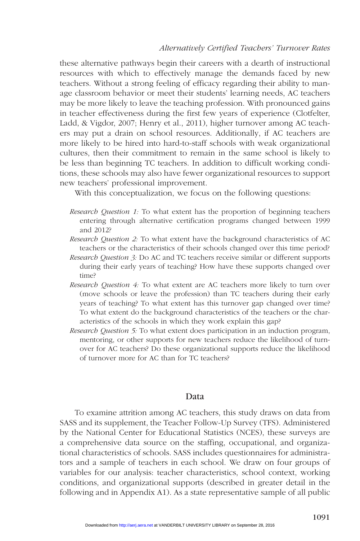#### Alternatively Certified Teachers' Turnover Rates

these alternative pathways begin their careers with a dearth of instructional resources with which to effectively manage the demands faced by new teachers. Without a strong feeling of efficacy regarding their ability to manage classroom behavior or meet their students' learning needs, AC teachers may be more likely to leave the teaching profession. With pronounced gains in teacher effectiveness during the first few years of experience (Clotfelter, Ladd, & Vigdor, 2007; Henry et al., 2011), higher turnover among AC teachers may put a drain on school resources. Additionally, if AC teachers are more likely to be hired into hard-to-staff schools with weak organizational cultures, then their commitment to remain in the same school is likely to be less than beginning TC teachers. In addition to difficult working conditions, these schools may also have fewer organizational resources to support new teachers' professional improvement.

With this conceptualization, we focus on the following questions:

- Research Question 1: To what extent has the proportion of beginning teachers entering through alternative certification programs changed between 1999 and 2012?
- Research Question 2: To what extent have the background characteristics of AC teachers or the characteristics of their schools changed over this time period?
- Research Question 3: Do AC and TC teachers receive similar or different supports during their early years of teaching? How have these supports changed over time?
- Research Question 4: To what extent are AC teachers more likely to turn over (move schools or leave the profession) than TC teachers during their early years of teaching? To what extent has this turnover gap changed over time? To what extent do the background characteristics of the teachers or the characteristics of the schools in which they work explain this gap?
- Research Question 5: To what extent does participation in an induction program, mentoring, or other supports for new teachers reduce the likelihood of turnover for AC teachers? Do these organizational supports reduce the likelihood of turnover more for AC than for TC teachers?

## Data

To examine attrition among AC teachers, this study draws on data from SASS and its supplement, the Teacher Follow-Up Survey (TFS). Administered by the National Center for Educational Statistics (NCES), these surveys are a comprehensive data source on the staffing, occupational, and organizational characteristics of schools. SASS includes questionnaires for administrators and a sample of teachers in each school. We draw on four groups of variables for our analysis: teacher characteristics, school context, working conditions, and organizational supports (described in greater detail in the following and in Appendix A1). As a state representative sample of all public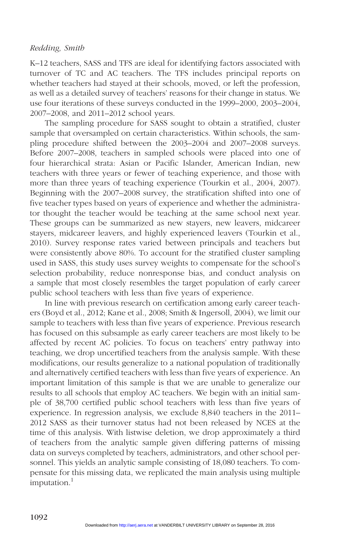K–12 teachers, SASS and TFS are ideal for identifying factors associated with turnover of TC and AC teachers. The TFS includes principal reports on whether teachers had stayed at their schools, moved, or left the profession, as well as a detailed survey of teachers' reasons for their change in status. We use four iterations of these surveys conducted in the 1999–2000, 2003–2004, 2007–2008, and 2011–2012 school years.

The sampling procedure for SASS sought to obtain a stratified, cluster sample that oversampled on certain characteristics. Within schools, the sampling procedure shifted between the 2003–2004 and 2007–2008 surveys. Before 2007–2008, teachers in sampled schools were placed into one of four hierarchical strata: Asian or Pacific Islander, American Indian, new teachers with three years or fewer of teaching experience, and those with more than three years of teaching experience (Tourkin et al., 2004, 2007). Beginning with the 2007–2008 survey, the stratification shifted into one of five teacher types based on years of experience and whether the administrator thought the teacher would be teaching at the same school next year. These groups can be summarized as new stayers, new leavers, midcareer stayers, midcareer leavers, and highly experienced leavers (Tourkin et al., 2010). Survey response rates varied between principals and teachers but were consistently above 80%. To account for the stratified cluster sampling used in SASS, this study uses survey weights to compensate for the school's selection probability, reduce nonresponse bias, and conduct analysis on a sample that most closely resembles the target population of early career public school teachers with less than five years of experience.

In line with previous research on certification among early career teachers (Boyd et al., 2012; Kane et al., 2008; Smith & Ingersoll, 2004), we limit our sample to teachers with less than five years of experience. Previous research has focused on this subsample as early career teachers are most likely to be affected by recent AC policies. To focus on teachers' entry pathway into teaching, we drop uncertified teachers from the analysis sample. With these modifications, our results generalize to a national population of traditionally and alternatively certified teachers with less than five years of experience. An important limitation of this sample is that we are unable to generalize our results to all schools that employ AC teachers. We begin with an initial sample of 38,700 certified public school teachers with less than five years of experience. In regression analysis, we exclude 8,840 teachers in the 2011– 2012 SASS as their turnover status had not been released by NCES at the time of this analysis. With listwise deletion, we drop approximately a third of teachers from the analytic sample given differing patterns of missing data on surveys completed by teachers, administrators, and other school personnel. This yields an analytic sample consisting of 18,080 teachers. To compensate for this missing data, we replicated the main analysis using multiple imputation. $<sup>1</sup>$ </sup>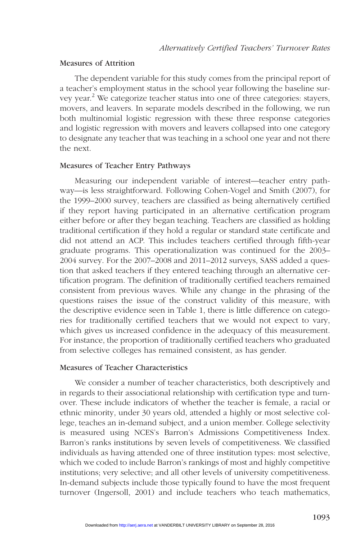## Measures of Attrition

The dependent variable for this study comes from the principal report of a teacher's employment status in the school year following the baseline survey year.<sup>2</sup> We categorize teacher status into one of three categories: stayers, movers, and leavers. In separate models described in the following, we run both multinomial logistic regression with these three response categories and logistic regression with movers and leavers collapsed into one category to designate any teacher that was teaching in a school one year and not there the next.

#### Measures of Teacher Entry Pathways

Measuring our independent variable of interest—teacher entry pathway—is less straightforward. Following Cohen-Vogel and Smith (2007), for the 1999–2000 survey, teachers are classified as being alternatively certified if they report having participated in an alternative certification program either before or after they began teaching. Teachers are classified as holding traditional certification if they hold a regular or standard state certificate and did not attend an ACP. This includes teachers certified through fifth-year graduate programs. This operationalization was continued for the 2003– 2004 survey. For the 2007–2008 and 2011–2012 surveys, SASS added a question that asked teachers if they entered teaching through an alternative certification program. The definition of traditionally certified teachers remained consistent from previous waves. While any change in the phrasing of the questions raises the issue of the construct validity of this measure, with the descriptive evidence seen in Table 1, there is little difference on categories for traditionally certified teachers that we would not expect to vary, which gives us increased confidence in the adequacy of this measurement. For instance, the proportion of traditionally certified teachers who graduated from selective colleges has remained consistent, as has gender.

#### Measures of Teacher Characteristics

We consider a number of teacher characteristics, both descriptively and in regards to their associational relationship with certification type and turnover. These include indicators of whether the teacher is female, a racial or ethnic minority, under 30 years old, attended a highly or most selective college, teaches an in-demand subject, and a union member. College selectivity is measured using NCES's Barron's Admissions Competitiveness Index. Barron's ranks institutions by seven levels of competitiveness. We classified individuals as having attended one of three institution types: most selective, which we coded to include Barron's rankings of most and highly competitive institutions; very selective; and all other levels of university competitiveness. In-demand subjects include those typically found to have the most frequent turnover (Ingersoll, 2001) and include teachers who teach mathematics,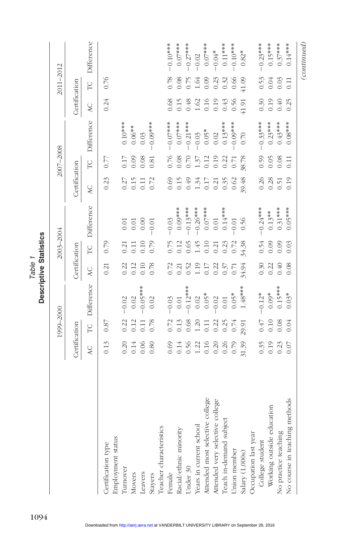|                                 |                                                                                                  | 1999-2000                                           |                               |                                              | 2003-2004                      |                                 |                                   | 2007-2008                                           |                                   |                        | 2011-2012      |                                                                                                                 |
|---------------------------------|--------------------------------------------------------------------------------------------------|-----------------------------------------------------|-------------------------------|----------------------------------------------|--------------------------------|---------------------------------|-----------------------------------|-----------------------------------------------------|-----------------------------------|------------------------|----------------|-----------------------------------------------------------------------------------------------------------------|
|                                 | Certification                                                                                    |                                                     |                               | Certification                                |                                |                                 | Certification                     |                                                     |                                   | Certification          |                |                                                                                                                 |
|                                 | <b>AC</b>                                                                                        | FC                                                  | Difference                    | AC                                           | TC                             | Difference                      | AC                                | TC                                                  | Difference                        | AC                     | TC             | Difference                                                                                                      |
| Certification type              | 0.13                                                                                             | $0.87\,$                                            |                               | 0.21                                         | 0.79                           |                                 | 0.23                              | 0.77                                                |                                   | 0.24                   | 0.76           |                                                                                                                 |
| Employment status               |                                                                                                  |                                                     |                               |                                              |                                |                                 |                                   |                                                     |                                   |                        |                |                                                                                                                 |
| Turnover                        |                                                                                                  |                                                     | $-0.02$                       |                                              |                                | 0.01                            |                                   |                                                     |                                   |                        |                |                                                                                                                 |
| Movers                          | $0.20$<br>$0.14$<br>$0.06$                                                                       | $\begin{array}{c} 0.22 \\ 0.12 \\ 0.11 \end{array}$ | 0.02                          | 0.22<br>0.12<br>0.10                         | $0.11$<br>0.11<br>0.10<br>0.79 | 0.01                            | 0.37<br>0.15<br>0.11              | 0.17<br>0.09<br>0.0                                 | $0.10***$<br>$0.06***$            |                        |                |                                                                                                                 |
| Leavers                         |                                                                                                  |                                                     | $-0.05***$                    |                                              |                                | 0.00                            |                                   |                                                     | 0.03                              |                        |                |                                                                                                                 |
| Stayers                         | 0.80                                                                                             | 0.78                                                | 0.02                          | 0.78                                         |                                | $-0.01$                         | 0.72                              | 0.81                                                | $-0.09***$                        |                        |                |                                                                                                                 |
| Teacher characteristics         |                                                                                                  |                                                     |                               |                                              |                                |                                 |                                   |                                                     |                                   |                        |                |                                                                                                                 |
| Female                          |                                                                                                  |                                                     | $-0.03$                       |                                              |                                | $-0.03$                         |                                   | 0.76                                                |                                   | 0.68                   | 0.78           | $-0.10***$                                                                                                      |
| Racial/ethnic minority          |                                                                                                  | $0.72$<br>0.13<br>0.68                              | $0.01$<br>-0.12***            |                                              |                                |                                 | $0.59$<br>0.15<br>0.0             |                                                     |                                   | 0.15                   | 0.08           |                                                                                                                 |
| Under 30                        |                                                                                                  |                                                     |                               |                                              |                                | $-0.09***$<br>$-0.13***$        |                                   | 0.708                                               | $-0.07***$<br>0.07***<br>-0.21*** | 0.48                   | 0.75           | $-0.07***$<br>-0.27***                                                                                          |
| Years in current school         |                                                                                                  | $1.20$ $\phantom{00}$                               |                               |                                              |                                |                                 |                                   |                                                     |                                   |                        | 1.64           |                                                                                                                 |
| Attended most selective college |                                                                                                  |                                                     | $0.02$<br>$0.05*$             | 0.71<br>0.52<br>0.52<br>0.52<br>0.57<br>0.57 |                                | $-0.26***$                      | $1.34$<br>0.17<br>0.21            | $1.37$<br>0.12                                      | $-0.03$<br>0.05*<br>0.02          | $1.62$<br>0.16<br>0.19 | 0.09           | $\begin{array}{r} -0.02 \\ -0.07^{***} \\ -0.04^{**} \\ -0.11^{***} \\ 0.10^{***} \\ -0.04^{**} \\ \end{array}$ |
| Attended very selective college |                                                                                                  | 0.22                                                | $-0.02$                       |                                              |                                | $0.01\,$                        |                                   |                                                     |                                   |                        | 0.23           |                                                                                                                 |
| Teach in-demand subject         |                                                                                                  |                                                     | $0.01$<br>0.05*               |                                              |                                | $0.14***$                       | 0.35                              | $\begin{array}{c} 0.19 \\ 0.22 \\ 0.71 \end{array}$ | $0.13***$<br>-0.09***             | 0.43                   | 0.32           |                                                                                                                 |
| Union member                    |                                                                                                  | $0.25$<br>0.74                                      |                               |                                              |                                | $-0.01$                         |                                   |                                                     |                                   | 0.56                   | 0.66           |                                                                                                                 |
| Salary (1,000s)                 | $0.58$<br>$0.58$<br>$0.52$<br>$0.58$<br>$0.58$<br>$0.58$<br>$0.58$<br>$0.58$<br>$0.58$<br>$0.58$ | 29.91                                               | $1.48***$                     | 34.94                                        | 34.38                          | 0.56                            | 39.48                             | 38.78                                               | 0.70                              | 41.91                  | 41.09          | $0.82*$                                                                                                         |
| Occupation last year            |                                                                                                  |                                                     |                               |                                              |                                |                                 |                                   |                                                     |                                   |                        |                |                                                                                                                 |
| College student                 |                                                                                                  | 0.47                                                |                               |                                              |                                |                                 |                                   | 0.59                                                |                                   | 0.30                   | 0.53           | $-0.23***$<br>0.15***                                                                                           |
| Working outside education       |                                                                                                  | $0.10$<br>$0.08$                                    |                               | $0.30$<br>$0.40$                             | $0.54$<br>0.09                 | $-0.24***$<br>0.13**<br>0.31*** | $0.\overline{28}$<br>0.38<br>0.51 | 0.05                                                | $-0.33***$<br>0.23***<br>0.43***  | 0.19                   | $0.04$<br>0.03 |                                                                                                                 |
| No practice teaching            | $0.35$<br>$0.23$<br>$0.07$                                                                       |                                                     | $-0.12*$<br>0.09*<br>0.15**** |                                              |                                |                                 |                                   |                                                     |                                   | 0.40                   |                | $0.37***$                                                                                                       |
| No course in teaching methods   |                                                                                                  | 0.04                                                | $0.03*$                       | 0.08                                         | 0.03                           | $0.05***$                       | 0.19                              | 0.11                                                | $0.08***$                         | 0.25                   | 0.11           | $0.14***$                                                                                                       |
|                                 |                                                                                                  |                                                     |                               |                                              |                                |                                 |                                   |                                                     |                                   |                        |                | <i>(continued)</i>                                                                                              |

Table 1<br>Descriptive Statistics Descriptive Statistics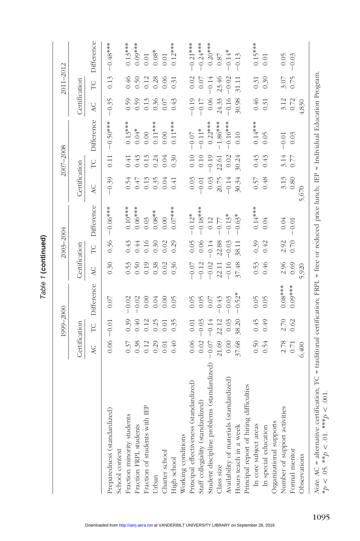| AC      | FC           |                                                              | $\lambda$ C                                   | TC                           |                                       | <b>AC</b>                                                                 | TC                    |                              | $\lambda$ C                                                                       | C                                         | Difference                                                       |
|---------|--------------|--------------------------------------------------------------|-----------------------------------------------|------------------------------|---------------------------------------|---------------------------------------------------------------------------|-----------------------|------------------------------|-----------------------------------------------------------------------------------|-------------------------------------------|------------------------------------------------------------------|
|         |              | $0.07$                                                       | 0.30                                          |                              | $-0.06***$                            | $-0.39$                                                                   | 0.11                  | $-0.50***$                   | $-0.35$                                                                           | 0.13                                      | $-0.48***$                                                       |
|         |              |                                                              |                                               |                              |                                       |                                                                           |                       |                              |                                                                                   |                                           | $0.13***$                                                        |
|         | 0.40         |                                                              |                                               |                              |                                       |                                                                           |                       |                              |                                                                                   |                                           | $0.09***$                                                        |
| 0.12    | 0.12         | 0.00                                                         | 0.19                                          | 0.16                         | 0.03                                  | 0.13                                                                      | 0.13                  | 0.00                         | 0.13                                                                              | 0.12                                      | 0.01                                                             |
| 0.29    | 0.25         | 0.04                                                         |                                               | 0.30                         | $0.08***$                             | 0.35                                                                      | 0.24                  |                              | 0.36                                                                              | 0.28                                      | $0.08*$                                                          |
| 0.01    | 0.01         | 0.00                                                         | 0.02                                          | 0.02                         | 0.00                                  | 0.04                                                                      | 0.04                  | 0.00                         | 0.07                                                                              | 0.06                                      | 0.01                                                             |
| 0.40    | 0.35         | 0.05                                                         | 0.36                                          | 0.29                         | $0.07***$                             | 0.41                                                                      | 0.30                  | $0.11***$                    | 0.43                                                                              | 0.31                                      | $0.12***$                                                        |
|         |              |                                                              |                                               |                              |                                       |                                                                           |                       |                              |                                                                                   |                                           |                                                                  |
| 0.06    | 0.01         | 0.05                                                         | $-0.07$                                       |                              |                                       | 0.03                                                                      | 0.10                  | $-0.07$                      | $-0.19$                                                                           | 0.02                                      | $-0.21***$                                                       |
| 0.02    |              | 0.05                                                         | $-0.12$                                       | 0.06                         | $-0.18***$                            | $-0.01$                                                                   | $0.10\,$              | $-0.11*$                     | $-0.17$                                                                           | 0.07                                      | $-0.24***$                                                       |
| $-0.07$ |              | 0.07                                                         | $-0.02$                                       | $-0.14$                      | 0.12                                  | 0.03                                                                      | $-0.19$               | $0.22***$                    | 0.06                                                                              |                                           | $0.20***$                                                        |
| 21.69   | 22.12        | $-0.43$                                                      | 22.11                                         | 22.88                        | $-0.77$                               | 20.75                                                                     | 22.61                 |                              | 24.33                                                                             | 23.46                                     | 0.87                                                             |
| 0.00    | 0.03         | $-0.03$                                                      | $-0.16$                                       | $-0.03$                      | $-0.13*$                              | $-0.14$                                                                   | 0.02                  | $-0.16***$                   |                                                                                   |                                           | $-0.14*$                                                         |
| 37.68   | 38.20        | $-0.52*$                                                     | 37.48                                         | 38.11                        | $-0.63*$                              | 30.34                                                                     | 30.24                 | 0.10                         | 30.98                                                                             | 31.11                                     | $-0.13$                                                          |
|         |              |                                                              |                                               |                              |                                       |                                                                           |                       |                              |                                                                                   |                                           |                                                                  |
| 0.50    | 6.45         | 0.05                                                         | 0.53                                          | 0.39                         | $0.14***$                             | 0.57                                                                      | 0.43                  | $0.14***$                    | 0.46                                                                              | 0.31                                      | $0.15***$                                                        |
| 0.54    | 64.0         | 0.05                                                         | 0.46                                          | 0.42                         | $0.04$                                | 0.48                                                                      | 0.43                  | 0.05                         | 0.31                                                                              | 0.30                                      | 0.01                                                             |
|         |              |                                                              |                                               |                              |                                       |                                                                           |                       |                              |                                                                                   |                                           |                                                                  |
| 2.78    | 2.70         | $0.08***$                                                    | 2.96                                          | 2.92                         | 0.04                                  | 3.13                                                                      | 3.14                  | $-0.01$                      |                                                                                   | 5.07                                      | 0.05                                                             |
| 0.71    | 0.62         | $0.09***$                                                    |                                               | 0.70                         | $-0.01$                               | 0.80                                                                      | 0.77                  | 0.03                         |                                                                                   | 0.75                                      | $-0.03$                                                          |
| 6,400   |              |                                                              | 5,920                                         |                              |                                       |                                                                           |                       |                              | 4,830                                                                             |                                           |                                                                  |
|         | 0.37<br>0.38 | $0.06 - 0.01$<br>0.39<br>$-0.03$<br>$-0.14$<br>Certification | Difference<br>$-0.02$<br>$-0.02$<br>1999-2000 | 0.69<br>0.53<br>0.38<br>0.50 | 0.05<br>6.43<br>0.44<br>Certification | Difference<br>$0.10***$<br>$0.06***$<br>$-0.12*$<br>$2003 - 2004$<br>0.36 | 0.54<br>0.47<br>5,670 | 643<br>0.41<br>Certification | <b>Difference</b><br>$0.13***$<br>$0.11***$<br>$-1.86***$<br>$0.04*$<br>2007-2008 | $-0.16$<br>0.59<br>$3.12$<br>0.72<br>0.59 | 2011-2012<br>0.46<br>$-0.02$<br>0.50<br>$-0.14$<br>Certification |

Table 1 (continued) Table 1 (continued) Note. AC = alternative certification; TC = traditional certification; FRPL = free or reduced price lunch; IEP = Individual Education Program. Note. AC = alternative certification; TC = traditional certification; FRPL = free or reduced price lunch; IEP = Individual Education Program.  $\leq 0.01$ .  $\leq 0.01$ . \*\**p* \ $\,<\,05. *p$ \*<sup>p</sup>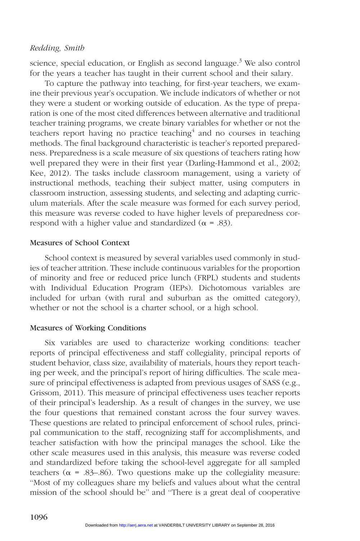science, special education, or English as second language.<sup>3</sup> We also control for the years a teacher has taught in their current school and their salary.

To capture the pathway into teaching, for first-year teachers, we examine their previous year's occupation. We include indicators of whether or not they were a student or working outside of education. As the type of preparation is one of the most cited differences between alternative and traditional teacher training programs, we create binary variables for whether or not the teachers report having no practice teaching $4$  and no courses in teaching methods. The final background characteristic is teacher's reported preparedness. Preparedness is a scale measure of six questions of teachers rating how well prepared they were in their first year (Darling-Hammond et al., 2002; Kee, 2012). The tasks include classroom management, using a variety of instructional methods, teaching their subject matter, using computers in classroom instruction, assessing students, and selecting and adapting curriculum materials. After the scale measure was formed for each survey period, this measure was reverse coded to have higher levels of preparedness correspond with a higher value and standardized ( $\alpha$  = .83).

## Measures of School Context

School context is measured by several variables used commonly in studies of teacher attrition. These include continuous variables for the proportion of minority and free or reduced price lunch (FRPL) students and students with Individual Education Program (IEPs). Dichotomous variables are included for urban (with rural and suburban as the omitted category), whether or not the school is a charter school, or a high school.

## Measures of Working Conditions

Six variables are used to characterize working conditions: teacher reports of principal effectiveness and staff collegiality, principal reports of student behavior, class size, availability of materials, hours they report teaching per week, and the principal's report of hiring difficulties. The scale measure of principal effectiveness is adapted from previous usages of SASS (e.g., Grissom, 2011). This measure of principal effectiveness uses teacher reports of their principal's leadership. As a result of changes in the survey, we use the four questions that remained constant across the four survey waves. These questions are related to principal enforcement of school rules, principal communication to the staff, recognizing staff for accomplishments, and teacher satisfaction with how the principal manages the school. Like the other scale measures used in this analysis, this measure was reverse coded and standardized before taking the school-level aggregate for all sampled teachers ( $\alpha$  = .83–.86). Two questions make up the collegiality measure: ''Most of my colleagues share my beliefs and values about what the central mission of the school should be'' and ''There is a great deal of cooperative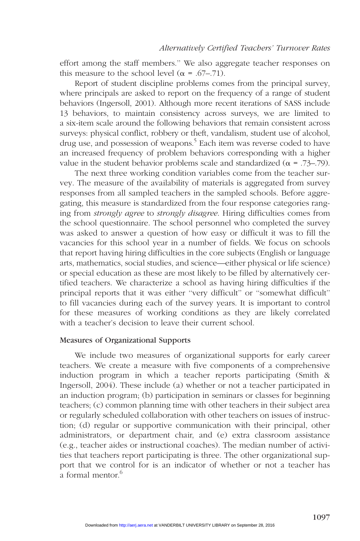effort among the staff members.'' We also aggregate teacher responses on this measure to the school level ( $\alpha$  = .67–.71).

Report of student discipline problems comes from the principal survey, where principals are asked to report on the frequency of a range of student behaviors (Ingersoll, 2001). Although more recent iterations of SASS include 13 behaviors, to maintain consistency across surveys, we are limited to a six-item scale around the following behaviors that remain consistent across surveys: physical conflict, robbery or theft, vandalism, student use of alcohol, drug use, and possession of weapons.<sup>5</sup> Each item was reverse coded to have an increased frequency of problem behaviors corresponding with a higher value in the student behavior problems scale and standardized ( $\alpha$  = .73–.79).

The next three working condition variables come from the teacher survey. The measure of the availability of materials is aggregated from survey responses from all sampled teachers in the sampled schools. Before aggregating, this measure is standardized from the four response categories ranging from strongly agree to strongly disagree. Hiring difficulties comes from the school questionnaire. The school personnel who completed the survey was asked to answer a question of how easy or difficult it was to fill the vacancies for this school year in a number of fields. We focus on schools that report having hiring difficulties in the core subjects (English or language arts, mathematics, social studies, and science—either physical or life science) or special education as these are most likely to be filled by alternatively certified teachers. We characterize a school as having hiring difficulties if the principal reports that it was either ''very difficult'' or ''somewhat difficult'' to fill vacancies during each of the survey years. It is important to control for these measures of working conditions as they are likely correlated with a teacher's decision to leave their current school.

## Measures of Organizational Supports

We include two measures of organizational supports for early career teachers. We create a measure with five components of a comprehensive induction program in which a teacher reports participating (Smith & Ingersoll, 2004). These include (a) whether or not a teacher participated in an induction program; (b) participation in seminars or classes for beginning teachers; (c) common planning time with other teachers in their subject area or regularly scheduled collaboration with other teachers on issues of instruction; (d) regular or supportive communication with their principal, other administrators, or department chair, and (e) extra classroom assistance (e.g., teacher aides or instructional coaches). The median number of activities that teachers report participating is three. The other organizational support that we control for is an indicator of whether or not a teacher has a formal mentor  $^6$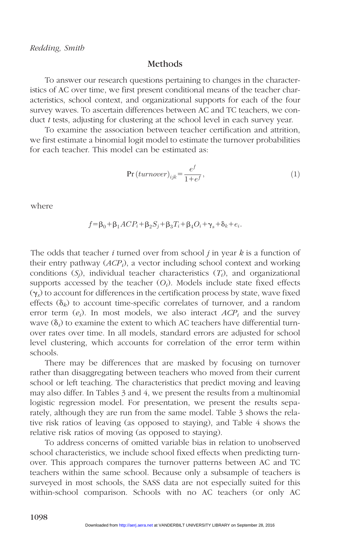## Methods

To answer our research questions pertaining to changes in the characteristics of AC over time, we first present conditional means of the teacher characteristics, school context, and organizational supports for each of the four survey waves. To ascertain differences between AC and TC teachers, we conduct *t* tests, adjusting for clustering at the school level in each survey year.

To examine the association between teacher certification and attrition, we first estimate a binomial logit model to estimate the turnover probabilities for each teacher. This model can be estimated as:

$$
\Pr\left(turnover\right)_{ijk} = \frac{e^f}{1+e^f},\tag{1}
$$

where

$$
f = \beta_0 + \beta_1 A C P_i + \beta_2 S_j + \beta_3 T_i + \beta_4 O_i + \gamma_s + \delta_k + e_i.
$$

The odds that teacher i turned over from school i in year  $k$  is a function of their entry pathway  $(ACP_i)$ , a vector including school context and working conditions  $(S_i)$ , individual teacher characteristics  $(T_i)$ , and organizational supports accessed by the teacher  $(O_i)$ . Models include state fixed effects  $(y<sub>s</sub>)$  to account for differences in the certification process by state, wave fixed effects  $(\delta_k)$  to account time-specific correlates of turnover, and a random error term  $(e_i)$ . In most models, we also interact  $ACP_i$  and the survey wave  $(\delta_i)$  to examine the extent to which AC teachers have differential turnover rates over time. In all models, standard errors are adjusted for school level clustering, which accounts for correlation of the error term within schools.

There may be differences that are masked by focusing on turnover rather than disaggregating between teachers who moved from their current school or left teaching. The characteristics that predict moving and leaving may also differ. In Tables 3 and 4, we present the results from a multinomial logistic regression model. For presentation, we present the results separately, although they are run from the same model. Table 3 shows the relative risk ratios of leaving (as opposed to staying), and Table 4 shows the relative risk ratios of moving (as opposed to staying).

To address concerns of omitted variable bias in relation to unobserved school characteristics, we include school fixed effects when predicting turnover. This approach compares the turnover patterns between AC and TC teachers within the same school. Because only a subsample of teachers is surveyed in most schools, the SASS data are not especially suited for this within-school comparison. Schools with no AC teachers (or only AC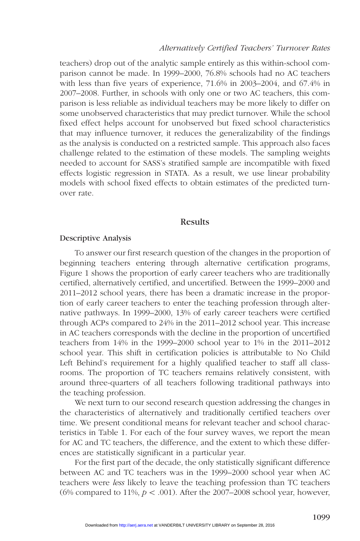#### Alternatively Certified Teachers' Turnover Rates

teachers) drop out of the analytic sample entirely as this within-school comparison cannot be made. In 1999–2000, 76.8% schools had no AC teachers with less than five years of experience, 71.6% in 2003–2004, and 67.4% in 2007–2008. Further, in schools with only one or two AC teachers, this comparison is less reliable as individual teachers may be more likely to differ on some unobserved characteristics that may predict turnover. While the school fixed effect helps account for unobserved but fixed school characteristics that may influence turnover, it reduces the generalizability of the findings as the analysis is conducted on a restricted sample. This approach also faces challenge related to the estimation of these models. The sampling weights needed to account for SASS's stratified sample are incompatible with fixed effects logistic regression in STATA. As a result, we use linear probability models with school fixed effects to obtain estimates of the predicted turnover rate.

## Results

#### Descriptive Analysis

To answer our first research question of the changes in the proportion of beginning teachers entering through alternative certification programs, Figure 1 shows the proportion of early career teachers who are traditionally certified, alternatively certified, and uncertified. Between the 1999–2000 and 2011–2012 school years, there has been a dramatic increase in the proportion of early career teachers to enter the teaching profession through alternative pathways. In 1999–2000, 13% of early career teachers were certified through ACPs compared to 24% in the 2011–2012 school year. This increase in AC teachers corresponds with the decline in the proportion of uncertified teachers from 14% in the 1999–2000 school year to 1% in the 2011–2012 school year. This shift in certification policies is attributable to No Child Left Behind's requirement for a highly qualified teacher to staff all classrooms. The proportion of TC teachers remains relatively consistent, with around three-quarters of all teachers following traditional pathways into the teaching profession.

We next turn to our second research question addressing the changes in the characteristics of alternatively and traditionally certified teachers over time. We present conditional means for relevant teacher and school characteristics in Table 1. For each of the four survey waves, we report the mean for AC and TC teachers, the difference, and the extent to which these differences are statistically significant in a particular year.

For the first part of the decade, the only statistically significant difference between AC and TC teachers was in the 1999–2000 school year when AC teachers were less likely to leave the teaching profession than TC teachers (6% compared to 11%,  $p < .001$ ). After the 2007–2008 school year, however,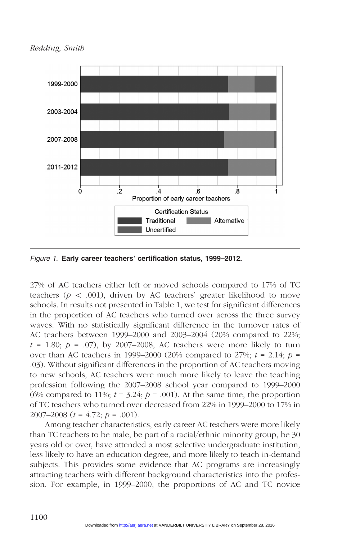



Figure 1. Early career teachers' certification status, 1999–2012.

27% of AC teachers either left or moved schools compared to 17% of TC teachers ( $p \, < \, .001$ ), driven by AC teachers' greater likelihood to move schools. In results not presented in Table 1, we test for significant differences in the proportion of AC teachers who turned over across the three survey waves. With no statistically significant difference in the turnover rates of AC teachers between 1999–2000 and 2003–2004 (20% compared to 22%;  $t = 1.80$ ;  $p = .07$ ), by 2007–2008, AC teachers were more likely to turn over than AC teachers in 1999–2000 (20% compared to 27%;  $t = 2.14$ ;  $p =$ .03). Without significant differences in the proportion of AC teachers moving to new schools, AC teachers were much more likely to leave the teaching profession following the 2007–2008 school year compared to 1999–2000 (6% compared to 11%;  $t = 3.24$ ;  $p = .001$ ). At the same time, the proportion of TC teachers who turned over decreased from 22% in 1999–2000 to 17% in 2007–2008 ( $t = 4.72$ ;  $p = .001$ ).

Among teacher characteristics, early career AC teachers were more likely than TC teachers to be male, be part of a racial/ethnic minority group, be 30 years old or over, have attended a most selective undergraduate institution, less likely to have an education degree, and more likely to teach in-demand subjects. This provides some evidence that AC programs are increasingly attracting teachers with different background characteristics into the profession. For example, in 1999–2000, the proportions of AC and TC novice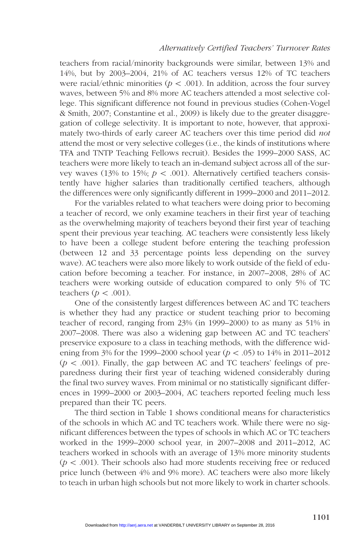#### Alternatively Certified Teachers' Turnover Rates

teachers from racial/minority backgrounds were similar, between 13% and 14%, but by 2003–2004, 21% of AC teachers versus 12% of TC teachers were racial/ethnic minorities ( $p < .001$ ). In addition, across the four survey waves, between 5% and 8% more AC teachers attended a most selective college. This significant difference not found in previous studies (Cohen-Vogel & Smith, 2007; Constantine et al., 2009) is likely due to the greater disaggregation of college selectivity. It is important to note, however, that approximately two-thirds of early career AC teachers over this time period did not attend the most or very selective colleges (i.e., the kinds of institutions where TFA and TNTP Teaching Fellows recruit). Besides the 1999–2000 SASS, AC teachers were more likely to teach an in-demand subject across all of the survey waves (13% to 15%;  $p < .001$ ). Alternatively certified teachers consistently have higher salaries than traditionally certified teachers, although the differences were only significantly different in 1999–2000 and 2011–2012.

For the variables related to what teachers were doing prior to becoming a teacher of record, we only examine teachers in their first year of teaching as the overwhelming majority of teachers beyond their first year of teaching spent their previous year teaching. AC teachers were consistently less likely to have been a college student before entering the teaching profession (between 12 and 33 percentage points less depending on the survey wave). AC teachers were also more likely to work outside of the field of education before becoming a teacher. For instance, in 2007–2008, 28% of AC teachers were working outside of education compared to only 5% of TC teachers ( $p < .001$ ).

One of the consistently largest differences between AC and TC teachers is whether they had any practice or student teaching prior to becoming teacher of record, ranging from 23% (in 1999–2000) to as many as 51% in 2007–2008. There was also a widening gap between AC and TC teachers' preservice exposure to a class in teaching methods, with the difference widening from 3% for the 1999–2000 school year ( $p < .05$ ) to 14% in 2011–2012  $(p \lt .001)$ . Finally, the gap between AC and TC teachers' feelings of preparedness during their first year of teaching widened considerably during the final two survey waves. From minimal or no statistically significant differences in 1999–2000 or 2003–2004, AC teachers reported feeling much less prepared than their TC peers.

The third section in Table 1 shows conditional means for characteristics of the schools in which AC and TC teachers work. While there were no significant differences between the types of schools in which AC or TC teachers worked in the 1999–2000 school year, in 2007–2008 and 2011–2012, AC teachers worked in schools with an average of 13% more minority students  $(p \lt .001)$ . Their schools also had more students receiving free or reduced price lunch (between 4% and 9% more). AC teachers were also more likely to teach in urban high schools but not more likely to work in charter schools.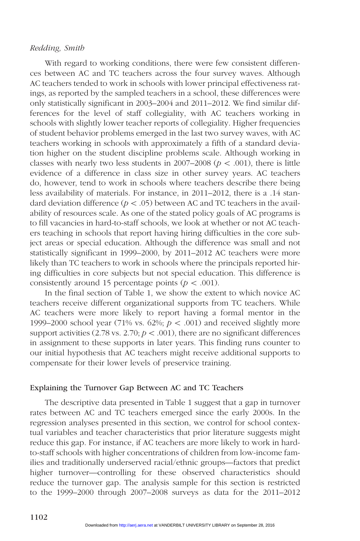With regard to working conditions, there were few consistent differences between AC and TC teachers across the four survey waves. Although AC teachers tended to work in schools with lower principal effectiveness ratings, as reported by the sampled teachers in a school, these differences were only statistically significant in 2003–2004 and 2011–2012. We find similar differences for the level of staff collegiality, with AC teachers working in schools with slightly lower teacher reports of collegiality. Higher frequencies of student behavior problems emerged in the last two survey waves, with AC teachers working in schools with approximately a fifth of a standard deviation higher on the student discipline problems scale. Although working in classes with nearly two less students in 2007–2008 ( $p < .001$ ), there is little evidence of a difference in class size in other survey years. AC teachers do, however, tend to work in schools where teachers describe there being less availability of materials. For instance, in 2011–2012, there is a .14 standard deviation difference ( $p < .05$ ) between AC and TC teachers in the availability of resources scale. As one of the stated policy goals of AC programs is to fill vacancies in hard-to-staff schools, we look at whether or not AC teachers teaching in schools that report having hiring difficulties in the core subject areas or special education. Although the difference was small and not statistically significant in 1999–2000, by 2011–2012 AC teachers were more likely than TC teachers to work in schools where the principals reported hiring difficulties in core subjects but not special education. This difference is consistently around 15 percentage points ( $p < .001$ ).

In the final section of Table 1, we show the extent to which novice AC teachers receive different organizational supports from TC teachers. While AC teachers were more likely to report having a formal mentor in the 1999–2000 school year (71% vs. 62%;  $p < .001$ ) and received slightly more support activities (2.78 vs. 2.70;  $p < .001$ ), there are no significant differences in assignment to these supports in later years. This finding runs counter to our initial hypothesis that AC teachers might receive additional supports to compensate for their lower levels of preservice training.

## Explaining the Turnover Gap Between AC and TC Teachers

The descriptive data presented in Table 1 suggest that a gap in turnover rates between AC and TC teachers emerged since the early 2000s. In the regression analyses presented in this section, we control for school contextual variables and teacher characteristics that prior literature suggests might reduce this gap. For instance, if AC teachers are more likely to work in hardto-staff schools with higher concentrations of children from low-income families and traditionally underserved racial/ethnic groups—factors that predict higher turnover—controlling for these observed characteristics should reduce the turnover gap. The analysis sample for this section is restricted to the 1999–2000 through 2007–2008 surveys as data for the 2011–2012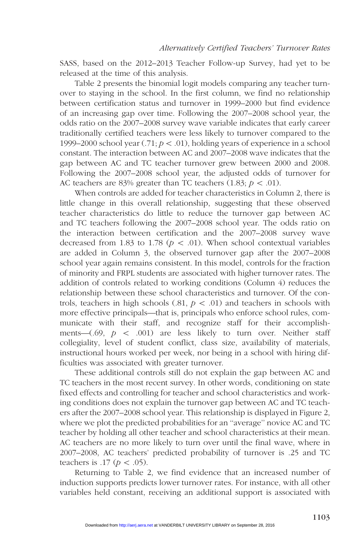SASS, based on the 2012–2013 Teacher Follow-up Survey, had yet to be released at the time of this analysis.

Table 2 presents the binomial logit models comparing any teacher turnover to staying in the school. In the first column, we find no relationship between certification status and turnover in 1999–2000 but find evidence of an increasing gap over time. Following the 2007–2008 school year, the odds ratio on the 2007–2008 survey wave variable indicates that early career traditionally certified teachers were less likely to turnover compared to the 1999–2000 school year (.71;  $p \lt .01$ ), holding years of experience in a school constant. The interaction between AC and 2007–2008 wave indicates that the gap between AC and TC teacher turnover grew between 2000 and 2008. Following the 2007–2008 school year, the adjusted odds of turnover for AC teachers are 83% greater than TC teachers  $(1.83; p < .01)$ .

When controls are added for teacher characteristics in Column 2, there is little change in this overall relationship, suggesting that these observed teacher characteristics do little to reduce the turnover gap between AC and TC teachers following the 2007–2008 school year. The odds ratio on the interaction between certification and the 2007–2008 survey wave decreased from 1.83 to 1.78 ( $p \lt 0.01$ ). When school contextual variables are added in Column 3, the observed turnover gap after the 2007–2008 school year again remains consistent. In this model, controls for the fraction of minority and FRPL students are associated with higher turnover rates. The addition of controls related to working conditions (Column 4) reduces the relationship between these school characteristics and turnover. Of the controls, teachers in high schools  $(.81, p \lt .01)$  and teachers in schools with more effective principals—that is, principals who enforce school rules, communicate with their staff, and recognize staff for their accomplishments— $(.69, p \lt .001)$  are less likely to turn over. Neither staff collegiality, level of student conflict, class size, availability of materials, instructional hours worked per week, nor being in a school with hiring difficulties was associated with greater turnover.

These additional controls still do not explain the gap between AC and TC teachers in the most recent survey. In other words, conditioning on state fixed effects and controlling for teacher and school characteristics and working conditions does not explain the turnover gap between AC and TC teachers after the 2007–2008 school year. This relationship is displayed in Figure 2, where we plot the predicted probabilities for an ''average'' novice AC and TC teacher by holding all other teacher and school characteristics at their mean. AC teachers are no more likely to turn over until the final wave, where in 2007–2008, AC teachers' predicted probability of turnover is .25 and TC teachers is .17 ( $p \lt .05$ ).

Returning to Table 2, we find evidence that an increased number of induction supports predicts lower turnover rates. For instance, with all other variables held constant, receiving an additional support is associated with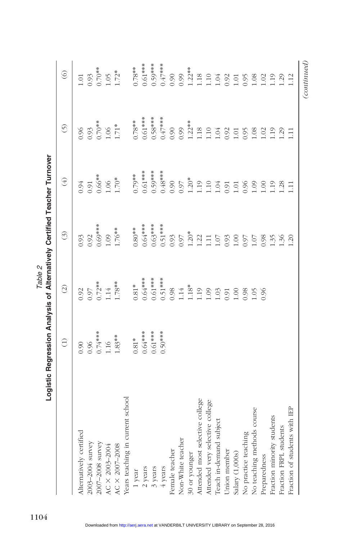|                                                                                                         | Logistic Regression Analysis of Alternatively Certified Teacher Turnover |                   |                                                     |             |                     |                     |
|---------------------------------------------------------------------------------------------------------|--------------------------------------------------------------------------|-------------------|-----------------------------------------------------|-------------|---------------------|---------------------|
|                                                                                                         | $\ominus$                                                                | $\widehat{\odot}$ | ⊙                                                   | $\bigoplus$ | $\odot$             | $\odot$             |
| Alternatively certified                                                                                 | 0.90                                                                     | 0.92              | 0.93                                                | 0.94        | 0.96                | 1.01                |
|                                                                                                         | 0.96                                                                     | 0.97              | 0.92                                                | 0.91        |                     | 0.93                |
| 2003–2004 survey<br>2007–2008 survey                                                                    | $0.74***$                                                                | $0.72***$         | $0.69***$                                           | $0.66***$   | $0.93$<br>0.70**    | $0.70***$           |
| $\begin{array}{l} \text{AC} \times 2003\text{--}2004 \\ \text{AC} \times 2007\text{--}2008 \end{array}$ | 1.16                                                                     | 1.14              | 1.09                                                | $1.06\,$    | $1.06\,$            |                     |
|                                                                                                         | $1.83***$                                                                | $1.78**$          | $1.76**$                                            | $1.70*$     | $1.71*$             | $1.05$<br>$1.72*$   |
| Years teaching in current school                                                                        |                                                                          |                   |                                                     |             |                     |                     |
|                                                                                                         | $0.81*$                                                                  | $0.81*$           | $0.80***$                                           | $0.79***$   | $0.78***$           | $0.78**$            |
| $\frac{1 \text{ year}}{2 \text{ years}}$                                                                | $0.64***$                                                                | $0.64***$         | $0.64***$                                           | $0.61***$   | $0.61***$           | $0.61***$           |
| 3 years                                                                                                 | $0.61***$                                                                | $0.61***$         | $0.63***$                                           | $0.59***$   | $0.58***$           | $0.59***$           |
| 4 years                                                                                                 | $0.50***$                                                                | $0.51***$         | $0.51***$                                           | $0.48***$   | $0.47***$           | $0.47***$           |
|                                                                                                         |                                                                          | 0.98              | 0.93                                                | 0.90        | 0.90                | 0.90                |
| Female teacher<br>Non-White teacher                                                                     |                                                                          | $1.14\,$          | 0.97                                                | 0.97        | 0.99                | 0.99                |
| 30 or younger                                                                                           |                                                                          | $1.18*$           | $1.20*$                                             | $1.20*$     | $1.22***$           | $1.22***$           |
|                                                                                                         |                                                                          | 1.19              | 1.22                                                | 1.19        | 1.18                | 1.18                |
| Attended most selective college<br>Attended very selective college                                      |                                                                          | 1.09              | $\Xi$                                               | $1.10\,$    | $1.10$              | 1.10                |
| Teach in-demand subject                                                                                 |                                                                          | 1.03              |                                                     | 1.04        | $1.04\,$            |                     |
| Union member                                                                                            |                                                                          | 0.91              | $\begin{array}{c} 1.07 \\ 0.93 \\ 1.00 \end{array}$ | 0.91        |                     |                     |
| Salary (1,000s)<br>No practice teaching                                                                 |                                                                          | $1.00\,$          |                                                     | 1.01        | $\frac{0.92}{1.01}$ | $\frac{1.04}{0.92}$ |
|                                                                                                         |                                                                          | 0.98              | $0.97$<br>1.07                                      | 0.96        | 0.95                |                     |
| course<br>No teaching methods                                                                           |                                                                          | 1.05              |                                                     | 1.09        | $1.08\,$            | $0.95$<br>$1.08$    |
| Preparedness                                                                                            |                                                                          | 0.96              | 0.98                                                | $1.00\,$    | 1.02                | $1.02$<br>$1.19$    |
| Fraction minority students                                                                              |                                                                          |                   | 1.35                                                | 1.19        | 1.19                |                     |
| Fraction FRPL students                                                                                  |                                                                          |                   | $-36$                                               | 1.28        | 1.29                | 1.29                |
| Fraction of students with IEP                                                                           |                                                                          |                   | 1.20                                                | $\Xi$       | $\overline{11}$     | 1.12                |
|                                                                                                         |                                                                          |                   |                                                     |             |                     | (continued)         |

Table 2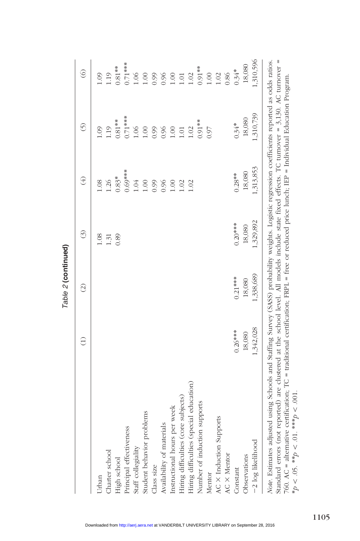|                                         | Э         | $\odot$   | $\odot$   | $\bigoplus$ | $\widehat{\odot}$ | $\odot$   |
|-----------------------------------------|-----------|-----------|-----------|-------------|-------------------|-----------|
| Urban                                   |           |           | 0.08      | 0.08        | 1.09              | 1.09      |
| Charter school                          |           |           | 1.31      | 1.26        | 1.19              | 1.19      |
| High school                             |           |           | 0.89      | $0.83*$     | $0.81***$         | $0.81**$  |
| Principal effectiveness                 |           |           |           | $0.69***$   | $0.71***$         | $0.71***$ |
| Staff collegiality                      |           |           |           | 1.04        | 1.06              | 1.06      |
| Student behavior problems               |           |           |           | 1.00        | 0.00              | 1.00      |
| Class size                              |           |           |           | 0.99        | 0.99              | 0.99      |
| Availability of materials               |           |           |           | 0.96        | 0.96              | 0.96      |
| Instructional hours per week            |           |           |           | 1.00        | 1.00              | 1.00      |
| Hiring difficulties (core subjects)     |           |           |           | 1.02        | 1.01              | 1.01      |
| Hiring difficulties (special education) |           |           |           | 1.02        | 1.02              | 1.02      |
| Number of induction supports            |           |           |           |             | $0.91**$          | $0.91***$ |
| Mentor                                  |           |           |           |             | 0.97              | 1.00      |
| $AC \times Induction$ Supports          |           |           |           |             |                   | 1.02      |
| $AC \times$ Mentor                      |           |           |           |             |                   | 0.86      |
| Constant                                | $0.26***$ | $0.21***$ | $0.20***$ | $0.28**$    | $0.34*$           | $0.34*$   |
| Observations                            | 18,080    | 18,080    | 18,080    | 18,080      | 18,080            | 18,080    |
| -2 log likelihood                       | 1,342,028 | 1,338,689 | 1,329,892 | 1,313,853   | 1,310,739         | 1,310,596 |

Table 2 (continued) Table 2 (continued)

\*<sup>p</sup>

 $\,<\,05.$  \*\*p

\ $\leq 0.01$ . \*\*\**p* 

 $\leq$  .001.

760. AC = alternative certification; TC = traditional certification; FRPL = free or reduced price lunch; IEP = Individual Education Program.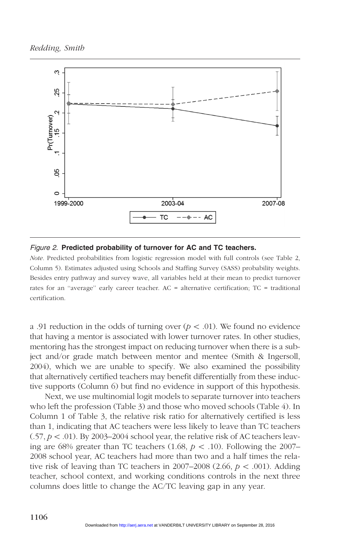

#### Figure 2. Predicted probability of turnover for AC and TC teachers.

Note. Predicted probabilities from logistic regression model with full controls (see Table 2, Column 5). Estimates adjusted using Schools and Staffing Survey (SASS) probability weights. Besides entry pathway and survey wave, all variables held at their mean to predict turnover rates for an ''average'' early career teacher. AC = alternative certification; TC = traditional certification.

a .91 reduction in the odds of turning over ( $p \lt 0.01$ ). We found no evidence that having a mentor is associated with lower turnover rates. In other studies, mentoring has the strongest impact on reducing turnover when there is a subject and/or grade match between mentor and mentee (Smith & Ingersoll, 2004), which we are unable to specify. We also examined the possibility that alternatively certified teachers may benefit differentially from these inductive supports (Column 6) but find no evidence in support of this hypothesis.

Next, we use multinomial logit models to separate turnover into teachers who left the profession (Table 3) and those who moved schools (Table 4). In Column 1 of Table 3, the relative risk ratio for alternatively certified is less than 1, indicating that AC teachers were less likely to leave than TC teachers  $(.57, p < .01)$ . By 2003–2004 school year, the relative risk of AC teachers leaving are 68% greater than TC teachers  $(1.68, p \lt 0.10)$ . Following the 2007– 2008 school year, AC teachers had more than two and a half times the relative risk of leaving than TC teachers in 2007–2008 (2.66,  $p \lt 0.001$ ). Adding teacher, school context, and working conditions controls in the next three columns does little to change the AC/TC leaving gap in any year.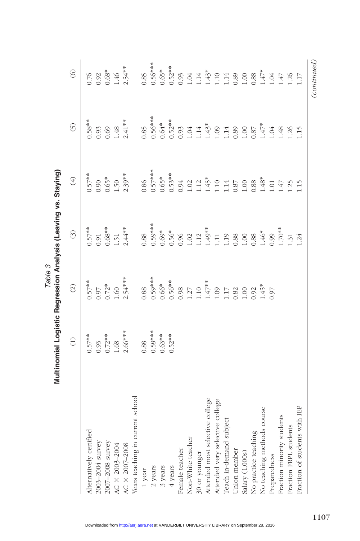|                                                                                                                            | Multinomial Logistic Regression Analysis (Leaving vs. Staying) |                   |                                             |                                       |                                                             |                                                             |
|----------------------------------------------------------------------------------------------------------------------------|----------------------------------------------------------------|-------------------|---------------------------------------------|---------------------------------------|-------------------------------------------------------------|-------------------------------------------------------------|
|                                                                                                                            | $\ominus$                                                      | $\odot$           | $\odot$                                     | $\bigoplus$                           | $\widehat{\odot}$                                           | $\odot$                                                     |
| Alternatively certified                                                                                                    | $0.57***$                                                      | $0.57**$          | $0.57**$                                    | $0.57***$                             | $0.58***$                                                   | 0.76                                                        |
|                                                                                                                            |                                                                | 0.97              | 0.91                                        | 0.90                                  | 0.93                                                        | 0.92                                                        |
|                                                                                                                            | $0.93$<br>0.72**                                               | $0.72*$           | $0.68**$                                    | $0.65*$                               | 0.69                                                        | $0.68*$                                                     |
|                                                                                                                            | $1.68\,$                                                       | $1.60\,$          | 1.51                                        | 1.50                                  | $1.48\,$                                                    | 1.46                                                        |
| 2003–2004 survey<br>2007–2008 survey<br>AC $\times$ 2003–2004<br>AC $\times$ 2007–2008<br>Years teaching in current school | $2.66***$                                                      | $2.54***$         | $2.44***$                                   | $2.39***$                             | $2.41***$                                                   | $2.54***$                                                   |
|                                                                                                                            |                                                                |                   |                                             |                                       |                                                             |                                                             |
|                                                                                                                            | 0.88                                                           | 0.88              | 0.88                                        | $0.86\,$                              | 0.85                                                        | 0.85                                                        |
| 1 year<br>2 years                                                                                                          | $0.58***$                                                      | $0.59***$         | $0.59***$                                   | $0.57***$                             | $0.56***$                                                   | $0.56***$                                                   |
| 3 years                                                                                                                    | $0.63***$                                                      | $0.66*$           |                                             | $0.65*$                               | $0.64*$                                                     | $0.65*$                                                     |
| 4 years                                                                                                                    | $0.52***$                                                      | $0.56**$          | $0.69*$<br>0.56*                            |                                       | $0.52***$                                                   | $0.52***$<br>0.93                                           |
| Female teacher<br>Non-White teacher                                                                                        |                                                                | 0.98              | 0.96                                        | $0.53***$<br>$0.94$                   | 0.93                                                        |                                                             |
|                                                                                                                            |                                                                | $1.27\phantom{0}$ |                                             | $1.02\,$                              |                                                             |                                                             |
|                                                                                                                            |                                                                |                   | $\begin{array}{c} 1.02 \\ 1.12 \end{array}$ |                                       | $\begin{array}{c} 1.04 \\ 1.14 \end{array}$                 | $1.04$<br>$1.14$                                            |
| 30 or younger<br>Attended most selective college<br>Attended very selective college                                        |                                                                | $1.47***$         |                                             | $1.12$<br>$1.45*$<br>$1.10$<br>$1.14$ | $1.43*$                                                     |                                                             |
|                                                                                                                            |                                                                | $1.09\,$          |                                             |                                       |                                                             |                                                             |
| Teach in-demand subject                                                                                                    |                                                                | 1.17              | $1.49**$<br>1.11<br>1.19                    |                                       | $\begin{array}{c} 1.09 \\ 1.14 \\ 0.89 \\ 1.00 \end{array}$ | $1.43$ *<br>$1.10$<br>$1.14$<br>$1.14$<br>$1.089$<br>$1.00$ |
| Union member                                                                                                               |                                                                | 0.82              | $0.88\,$                                    | $0.87\,$                              |                                                             |                                                             |
| Salary (1,000s)                                                                                                            |                                                                | $1.00\,$          | $1.00\,$                                    | $1.00\,$                              |                                                             |                                                             |
| No practice teaching                                                                                                       |                                                                |                   | 0.88                                        | $0.88\,$                              | $0.87\,$                                                    | 0.88                                                        |
| No teaching methods course                                                                                                 |                                                                | $0.92$<br>1.45*   | $1.46*$                                     | $1.48*$                               | $1.47*$                                                     | $1.47*$                                                     |
| Preparedness                                                                                                               |                                                                | 0.97              | 0.99                                        | 1.01                                  | 1.04                                                        | $1.04\,$                                                    |
| Fraction minority students                                                                                                 |                                                                |                   | $1.70**$                                    | 1.47                                  | 1.48                                                        | $1.47\,$                                                    |
| Fraction FRPL students                                                                                                     |                                                                |                   | 1.31                                        | 1.25                                  | 1.26                                                        | 1.26                                                        |
| with IEP<br>Fraction of students                                                                                           |                                                                |                   | 1.24                                        | 1.15                                  | 1.15                                                        | $1.17\,$                                                    |
|                                                                                                                            |                                                                |                   |                                             |                                       |                                                             | $_{\rm(continued)}$                                         |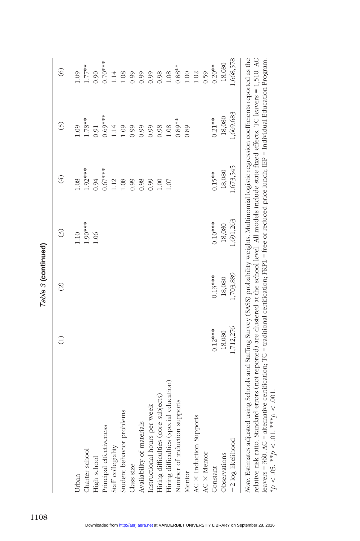|                                         | E         | $\widehat{\odot}$ | $\odot$   | $\bigoplus$ | $\odot$   | $\odot$   |
|-----------------------------------------|-----------|-------------------|-----------|-------------|-----------|-----------|
| Urban                                   |           |                   | 1.10      | 1.08        | 1.09      | 1.09      |
| Charter school                          |           |                   | $1.90***$ | $1.92***$   | $1.78**$  | $1.77***$ |
| High school                             |           |                   | 1.06      | 0.94        | 0.91      | 0.90      |
| Principal effectiveness                 |           |                   |           | $0.67***$   | $0.69***$ | $0.70***$ |
| Staff collegiality                      |           |                   |           | 1.12        | 114       | 1.14      |
| Student behavior problems               |           |                   |           | 1.08        | 0.09      | 1.08      |
| Class size                              |           |                   |           | 0.99        | 0.99      | 0.99      |
| Availability of materials               |           |                   |           | 0.98        | 0.99      | 0.99      |
| Instructional hours per week            |           |                   |           | 0.99        | 0.99      | 0.99      |
| Hiring difficulties (core subjects)     |           |                   |           | 1.00        | 0.98      | 0.98      |
| Hiring difficulties (special education) |           |                   |           | 1.07        | 1.08      | 1.08      |
| Number of induction supports            |           |                   |           |             | $0.89**$  | $0.88***$ |
| Mentor                                  |           |                   |           |             | 0.89      | 1.00      |
| $AC \times Induction$ Supports          |           |                   |           |             |           | 1.02      |
| $AC \times$ Mentor                      |           |                   |           |             |           | 0.59      |
| Constant                                | $0.12***$ | $0.13***$         | $0.10***$ | $0.15***$   | $0.21**$  | $0.20***$ |
| Observations                            | 18,080    | 18,080            | 18,080    | 18,080      | 18,080    | 18,080    |
| -2 log likelihood                       | 1,712,276 | 1,703,889         | 1,691,263 | 1,673,545   | 1,669,683 | 1,668,578 |

leavers = 360. AC = alternative certification; TC = traditional certification; FRPL = free or reduced price lunch; IEP = Individual Education Program.

\*<sup>p</sup>

 $\,<\,05.$  \*\*p

\ $\leq .01$ . \*\*\**p* 

 $\leq$  .001.

| c |
|---|
|   |
|   |
|   |
|   |
|   |
| í |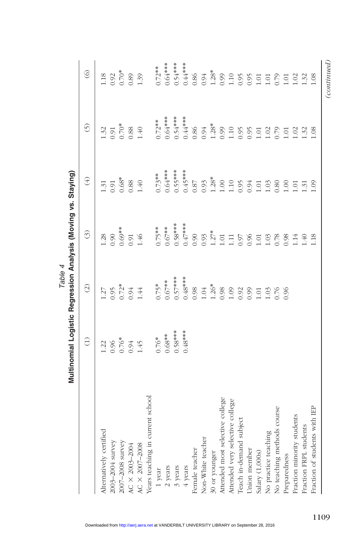|                                                                                                                                | Multinomial Logistic Regression Analysis (Moving vs. Staying) |           |              |                       |                   |                    |
|--------------------------------------------------------------------------------------------------------------------------------|---------------------------------------------------------------|-----------|--------------|-----------------------|-------------------|--------------------|
|                                                                                                                                | $\ominus$                                                     | $\odot$   | $\odot$      | $\bigoplus$           | $\widehat{\odot}$ | $\odot$            |
|                                                                                                                                | 1.22                                                          | 1.27      | 1.28         | $\cdot$ <sup>51</sup> | 1.32              | 1.18               |
|                                                                                                                                | 0.96                                                          | 0.95      | 0.90         | 0.91                  | 0.91              | 0.92               |
|                                                                                                                                | $0.76*$                                                       | $0.72*$   | $0.69**$     | $0.68*$               | $0.70*$           | $0.70*$            |
|                                                                                                                                | 0.94                                                          | 0.94      | 0.91         | 0.88                  | 0.88              | 0.89               |
| Alternatively certified<br>2003–2004 survey<br>2007–2008 survey<br>2007–2008<br>AC $\times$ 2003–2004<br>AC $\times$ 2007–2008 | 1.45                                                          | 1.44      | 1.46         | 1.40                  | 1.40              | 1.39               |
| Years teaching in current school                                                                                               |                                                               |           |              |                       |                   |                    |
| 1 year                                                                                                                         | $0.76*$                                                       | $0.75*$   | $0.75***$    | $0.73**$              | $0.72***$         | $0.72***$          |
|                                                                                                                                | $0.68***$                                                     | $0.67**$  | $0.67***$    | $0.64***$             | $0.64***$         | $0.64***$          |
| 2 years<br>3 years                                                                                                             | $0.58***$                                                     | $0.57***$ | $0.58***$    | $0.55***$             | $0.54***$         | $0.54***$          |
|                                                                                                                                | $0.48***$                                                     | $0.48***$ | $0.47***$    | $0.45***$             | $0.44***$         | $0.44***$          |
|                                                                                                                                |                                                               | 0.98      | 0.90         | $0.87\,$              | 0.86              | $0.86\,$           |
| $4$ years<br>Female teacher<br>Non-White teacher                                                                               |                                                               | $1.04\,$  | 0.93         | 0.93                  | $0.94$            | 0.94               |
|                                                                                                                                |                                                               | $1.26*$   | $1.27*$      | $1.28*$               | $1.28*$           | $1.28*$            |
| 30 or younger<br>Attended most selective college                                                                               |                                                               | 0.98      | $1.01\,$     | 1.00                  | 0.99              | 0.99               |
|                                                                                                                                |                                                               | 1.09      |              | $1.10\,$              | $1.10\,$          |                    |
| Attended very selective college<br>Teach in-demand subject                                                                     |                                                               | 0.92      | 1.11<br>0.97 | 0.95                  | 0.95              | $1.10$<br>0.95     |
|                                                                                                                                |                                                               | 0.99      |              |                       | 0.95              |                    |
| Union member<br>Salary (1,000s)                                                                                                |                                                               | $1.01\,$  | $1.01\,$     | 1.01                  | 1.01              | 1.01               |
| No practice teaching                                                                                                           |                                                               | 1.03      | 1.03         | 1.03                  | 1.02              | 1.01               |
| No teaching methods course                                                                                                     |                                                               | 0.76      | 0.78         | 0.80                  | 0.79              | 0.79               |
| Preparedness                                                                                                                   |                                                               | 0.96      | 0.98         | 1.00                  | 1.01              | 1.01               |
|                                                                                                                                |                                                               |           | 1.14         | 1.01                  | 1.02              | 1.02               |
| Fraction minority students<br>Fraction FRPL students                                                                           |                                                               |           | $0\nmid$     | $\overline{.31}$      | $\frac{32}{2}$    | 1.32               |
| Fraction of students with IEP                                                                                                  |                                                               |           | 1.18         | (0.1)                 | 1.08              | 1.08               |
|                                                                                                                                |                                                               |           |              |                       |                   | <i>(continued)</i> |

Ą  $\overline{\phantom{a}}$ J, Ŕ Table 4

ò  $\ddot{a}$ 

1109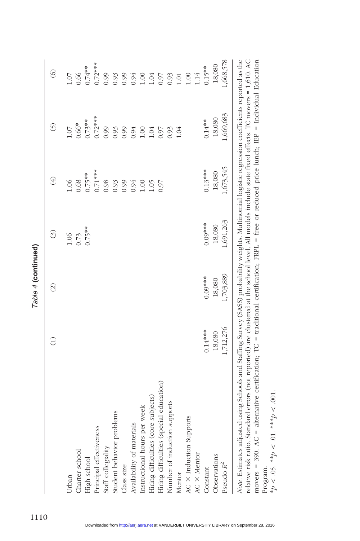|                                                                                                                                                                                                                                                                                                                                                                                                                                                                  | Ê         | $\widehat{\infty}$ | $\odot$           | $\bigoplus$       | $\odot$         | $\odot$           |
|------------------------------------------------------------------------------------------------------------------------------------------------------------------------------------------------------------------------------------------------------------------------------------------------------------------------------------------------------------------------------------------------------------------------------------------------------------------|-----------|--------------------|-------------------|-------------------|-----------------|-------------------|
| Urban                                                                                                                                                                                                                                                                                                                                                                                                                                                            |           |                    | 1.06              | 0.06              | $0.66*$<br>1.07 | 0.1               |
| Charter school<br>High school                                                                                                                                                                                                                                                                                                                                                                                                                                    |           |                    | $0.75***$<br>0.73 | $0.75***$<br>0.68 | $0.73**$        | $0.74***$<br>0.66 |
| Principal effectiveness                                                                                                                                                                                                                                                                                                                                                                                                                                          |           |                    |                   | $0.71***$         | $0.72***$       | $0.72***$         |
| Staff collegiality                                                                                                                                                                                                                                                                                                                                                                                                                                               |           |                    |                   | 0.98              | 0.99            | 0.99              |
| Student behavior problems                                                                                                                                                                                                                                                                                                                                                                                                                                        |           |                    |                   | 0.93              | 0.93            | 0.93              |
| Class size                                                                                                                                                                                                                                                                                                                                                                                                                                                       |           |                    |                   | 0.99              | 0.99            | 0.99              |
| Availability of materials                                                                                                                                                                                                                                                                                                                                                                                                                                        |           |                    |                   | 0.94              | 0.94            | 0.94              |
| per week<br>Instructional hours p                                                                                                                                                                                                                                                                                                                                                                                                                                |           |                    |                   | 1.00              | 1.00            | 00.1              |
| Hiring difficulties (core subjects)                                                                                                                                                                                                                                                                                                                                                                                                                              |           |                    |                   | 1.05              | 1.04            | 1.04              |
| Hiring difficulties (special education)                                                                                                                                                                                                                                                                                                                                                                                                                          |           |                    |                   | 0.97              | 0.97            | 0.97              |
| Number of induction supports                                                                                                                                                                                                                                                                                                                                                                                                                                     |           |                    |                   |                   | 0.93            | 0.93              |
| Mentor                                                                                                                                                                                                                                                                                                                                                                                                                                                           |           |                    |                   |                   | 1.04            | 1.01              |
| $AC \times Induction$ Supports                                                                                                                                                                                                                                                                                                                                                                                                                                   |           |                    |                   |                   |                 | 1.00              |
| $\text{AC} \times \text{Mentor}$                                                                                                                                                                                                                                                                                                                                                                                                                                 |           |                    |                   |                   |                 | 1.14              |
| Constant                                                                                                                                                                                                                                                                                                                                                                                                                                                         | $0.14***$ | $0.09***$          | $0.09***$         | $0.13***$         | $0.14***$       | $0.15***$         |
| Observations                                                                                                                                                                                                                                                                                                                                                                                                                                                     | 18,080    | 18,080             | 18,080            | 18,080            | 18,080          | 18,080            |
| Pseudo $\boldsymbol{R}^2$                                                                                                                                                                                                                                                                                                                                                                                                                                        | 1,712,276 | 1,703,889          | 1,691,263         | 1,673,545         | 1,669,683       | ,668,578          |
| Note. Estimates adjusted using Schools and Staffing Survey (SASS) probability weights. Multinomial logistic regression coefficients reported as the<br>relative risk ratio. Standard errors (not reported) are clustered at the school level. All models include state fixed effects. TC movers = 1,610. AC<br>movers = 390. AC = alternative certification; $TC =$ traditional certification; $FRPL =$ free or reduced price lunch; $EP =$ Individual Education |           |                    |                   |                   |                 |                   |

1110

Table 4 (continued)

Table 4 (continued)

Program. \*<sup>p</sup>  $\,<\,05.$  \*\*p

\ $\leq 0.01$ . \*\*\**p* 

 $\leq$  .001.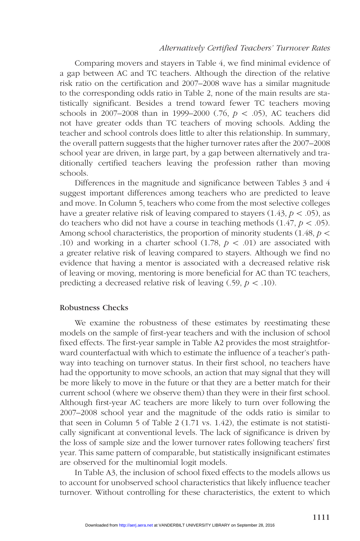#### Alternatively Certified Teachers' Turnover Rates

Comparing movers and stayers in Table 4, we find minimal evidence of a gap between AC and TC teachers. Although the direction of the relative risk ratio on the certification and 2007–2008 wave has a similar magnitude to the corresponding odds ratio in Table 2, none of the main results are statistically significant. Besides a trend toward fewer TC teachers moving schools in 2007–2008 than in 1999–2000 (.76,  $p \, < .05$ ), AC teachers did not have greater odds than TC teachers of moving schools. Adding the teacher and school controls does little to alter this relationship. In summary, the overall pattern suggests that the higher turnover rates after the 2007–2008 school year are driven, in large part, by a gap between alternatively and traditionally certified teachers leaving the profession rather than moving schools.

Differences in the magnitude and significance between Tables 3 and 4 suggest important differences among teachers who are predicted to leave and move. In Column 5, teachers who come from the most selective colleges have a greater relative risk of leaving compared to stayers  $(1.43, p < .05)$ , as do teachers who did not have a course in teaching methods  $(1.47, p < .05)$ . Among school characteristics, the proportion of minority students  $(1.48, p \leq$ .10) and working in a charter school (1.78,  $p \lt 0.01$ ) are associated with a greater relative risk of leaving compared to stayers. Although we find no evidence that having a mentor is associated with a decreased relative risk of leaving or moving, mentoring is more beneficial for AC than TC teachers, predicting a decreased relative risk of leaving  $(.59, p < .10)$ .

## Robustness Checks

We examine the robustness of these estimates by reestimating these models on the sample of first-year teachers and with the inclusion of school fixed effects. The first-year sample in Table A2 provides the most straightforward counterfactual with which to estimate the influence of a teacher's pathway into teaching on turnover status. In their first school, no teachers have had the opportunity to move schools, an action that may signal that they will be more likely to move in the future or that they are a better match for their current school (where we observe them) than they were in their first school. Although first-year AC teachers are more likely to turn over following the 2007–2008 school year and the magnitude of the odds ratio is similar to that seen in Column 5 of Table 2 (1.71 vs. 1.42), the estimate is not statistically significant at conventional levels. The lack of significance is driven by the loss of sample size and the lower turnover rates following teachers' first year. This same pattern of comparable, but statistically insignificant estimates are observed for the multinomial logit models.

In Table A3, the inclusion of school fixed effects to the models allows us to account for unobserved school characteristics that likely influence teacher turnover. Without controlling for these characteristics, the extent to which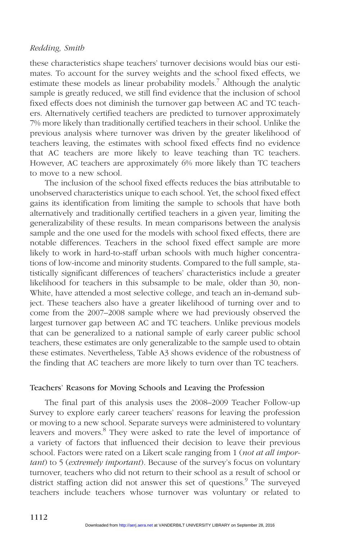these characteristics shape teachers' turnover decisions would bias our estimates. To account for the survey weights and the school fixed effects, we estimate these models as linear probability models.<sup>7</sup> Although the analytic sample is greatly reduced, we still find evidence that the inclusion of school fixed effects does not diminish the turnover gap between AC and TC teachers. Alternatively certified teachers are predicted to turnover approximately 7% more likely than traditionally certified teachers in their school. Unlike the previous analysis where turnover was driven by the greater likelihood of teachers leaving, the estimates with school fixed effects find no evidence that AC teachers are more likely to leave teaching than TC teachers. However, AC teachers are approximately 6% more likely than TC teachers to move to a new school.

The inclusion of the school fixed effects reduces the bias attributable to unobserved characteristics unique to each school. Yet, the school fixed effect gains its identification from limiting the sample to schools that have both alternatively and traditionally certified teachers in a given year, limiting the generalizability of these results. In mean comparisons between the analysis sample and the one used for the models with school fixed effects, there are notable differences. Teachers in the school fixed effect sample are more likely to work in hard-to-staff urban schools with much higher concentrations of low-income and minority students. Compared to the full sample, statistically significant differences of teachers' characteristics include a greater likelihood for teachers in this subsample to be male, older than 30, non-White, have attended a most selective college, and teach an in-demand subject. These teachers also have a greater likelihood of turning over and to come from the 2007–2008 sample where we had previously observed the largest turnover gap between AC and TC teachers. Unlike previous models that can be generalized to a national sample of early career public school teachers, these estimates are only generalizable to the sample used to obtain these estimates. Nevertheless, Table A3 shows evidence of the robustness of the finding that AC teachers are more likely to turn over than TC teachers.

## Teachers' Reasons for Moving Schools and Leaving the Profession

The final part of this analysis uses the 2008–2009 Teacher Follow-up Survey to explore early career teachers' reasons for leaving the profession or moving to a new school. Separate surveys were administered to voluntary leavers and movers.<sup>8</sup> They were asked to rate the level of importance of a variety of factors that influenced their decision to leave their previous school. Factors were rated on a Likert scale ranging from 1 (not at all important) to 5 (extremely important). Because of the survey's focus on voluntary turnover, teachers who did not return to their school as a result of school or district staffing action did not answer this set of questions.<sup>9</sup> The surveyed teachers include teachers whose turnover was voluntary or related to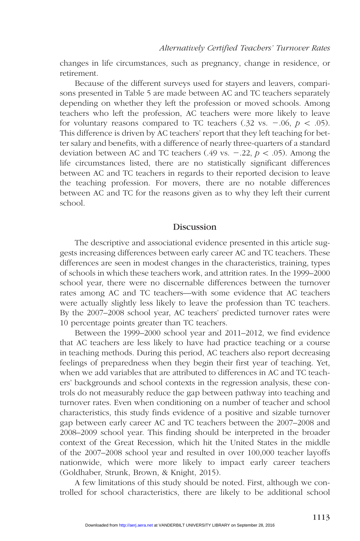changes in life circumstances, such as pregnancy, change in residence, or retirement.

Because of the different surveys used for stayers and leavers, comparisons presented in Table 5 are made between AC and TC teachers separately depending on whether they left the profession or moved schools. Among teachers who left the profession, AC teachers were more likely to leave for voluntary reasons compared to TC teachers (.32 vs.  $-.06, p < .05$ ). This difference is driven by AC teachers' report that they left teaching for better salary and benefits, with a difference of nearly three-quarters of a standard deviation between AC and TC teachers (.49 vs.  $-.22, p < .05$ ). Among the life circumstances listed, there are no statistically significant differences between AC and TC teachers in regards to their reported decision to leave the teaching profession. For movers, there are no notable differences between AC and TC for the reasons given as to why they left their current school.

## Discussion

The descriptive and associational evidence presented in this article suggests increasing differences between early career AC and TC teachers. These differences are seen in modest changes in the characteristics, training, types of schools in which these teachers work, and attrition rates. In the 1999–2000 school year, there were no discernable differences between the turnover rates among AC and TC teachers—with some evidence that AC teachers were actually slightly less likely to leave the profession than TC teachers. By the 2007–2008 school year, AC teachers' predicted turnover rates were 10 percentage points greater than TC teachers.

Between the 1999–2000 school year and 2011–2012, we find evidence that AC teachers are less likely to have had practice teaching or a course in teaching methods. During this period, AC teachers also report decreasing feelings of preparedness when they begin their first year of teaching. Yet, when we add variables that are attributed to differences in AC and TC teachers' backgrounds and school contexts in the regression analysis, these controls do not measurably reduce the gap between pathway into teaching and turnover rates. Even when conditioning on a number of teacher and school characteristics, this study finds evidence of a positive and sizable turnover gap between early career AC and TC teachers between the 2007–2008 and 2008–2009 school year. This finding should be interpreted in the broader context of the Great Recession, which hit the United States in the middle of the 2007–2008 school year and resulted in over 100,000 teacher layoffs nationwide, which were more likely to impact early career teachers (Goldhaber, Strunk, Brown, & Knight, 2015).

A few limitations of this study should be noted. First, although we controlled for school characteristics, there are likely to be additional school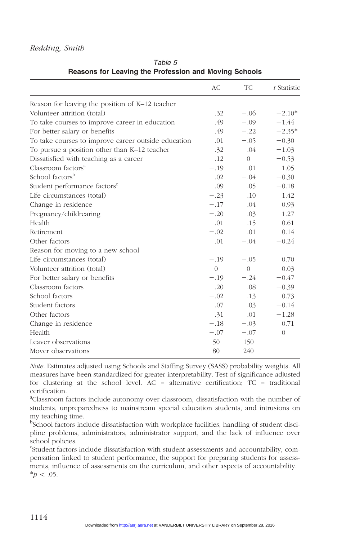|                                                     | AC       | TC             | t Statistic    |
|-----------------------------------------------------|----------|----------------|----------------|
| Reason for leaving the position of K-12 teacher     |          |                |                |
| Volunteer attrition (total)                         | .32      | $-.06$         | $-2.10*$       |
| To take courses to improve career in education      | .49      | $-0.09$        | $-1.44$        |
| For better salary or benefits                       | .49      | $-.22$         | $-2.35*$       |
| To take courses to improve career outside education | .01      | $-.05$         | $-0.30$        |
| To pursue a position other than K-12 teacher        | .32      | .04            | $-1.03$        |
| Dissatisfied with teaching as a career              | .12      | $\overline{0}$ | $-0.53$        |
| Classroom factors <sup>a</sup>                      | $-.19$   | .01            | 1.05           |
| School factors <sup>b</sup>                         | .02      | $-.04$         | $-0.30$        |
| Student performance factors <sup>c</sup>            | .09      | .05            | $-0.18$        |
| Life circumstances (total)                          | $-.23$   | .10            | 1.42           |
| Change in residence                                 | $-.17$   | .04            | 0.93           |
| Pregnancy/childrearing                              | $-.20$   | .03            | 1.27           |
| Health                                              | .01      | .15            | 0.61           |
| Retirement                                          | $-.02$   | .01            | 0.14           |
| Other factors                                       | .01      | $-.04$         | $-0.24$        |
| Reason for moving to a new school                   |          |                |                |
| Life circumstances (total)                          | $-.19$   | $-.05$         | 0.70           |
| Volunteer attrition (total)                         | $\theta$ | $\Omega$       | 0.03           |
| For better salary or benefits                       | $-.19$   | $-.24$         | $-0.47$        |
| Classroom factors                                   | .20      | .08            | $-0.39$        |
| School factors                                      | $-.02$   | .13            | 0.73           |
| Student factors                                     | .07      | .03            | $-0.14$        |
| Other factors                                       | .31      | .01            | $-1.28$        |
| Change in residence                                 | $-.18$   | $-.03$         | 0.71           |
| Health                                              | $-.07$   | $-.07$         | $\overline{0}$ |
| Leaver observations                                 | 50       | 150            |                |
| Mover observations                                  | 80       | 240            |                |

Table 5 Reasons for Leaving the Profession and Moving Schools

Note. Estimates adjusted using Schools and Staffing Survey (SASS) probability weights. All measures have been standardized for greater interpretability. Test of significance adjusted for clustering at the school level. AC = alternative certification; TC = traditional certification.

<sup>a</sup>Classroom factors include autonomy over classroom, dissatisfaction with the number of students, unpreparedness to mainstream special education students, and intrusions on my teaching time.

<sup>b</sup>School factors include dissatisfaction with workplace facilities, handling of student discipline problems, administrators, administrator support, and the lack of influence over school policies.

c Student factors include dissatisfaction with student assessments and accountability, compensation linked to student performance, the support for preparing students for assessments, influence of assessments on the curriculum, and other aspects of accountability.  $* p < .05.$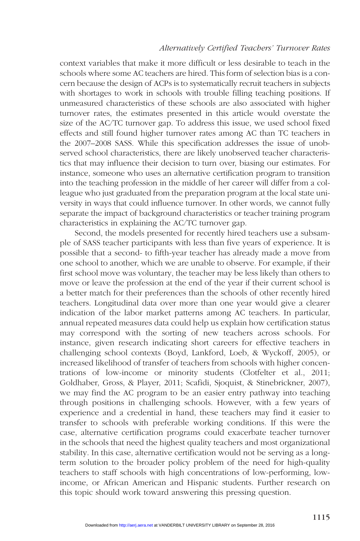## Alternatively Certified Teachers' Turnover Rates

context variables that make it more difficult or less desirable to teach in the schools where some AC teachers are hired. This form of selection bias is a concern because the design of ACPs is to systematically recruit teachers in subjects with shortages to work in schools with trouble filling teaching positions. If unmeasured characteristics of these schools are also associated with higher turnover rates, the estimates presented in this article would overstate the size of the AC/TC turnover gap. To address this issue, we used school fixed effects and still found higher turnover rates among AC than TC teachers in the 2007–2008 SASS. While this specification addresses the issue of unobserved school characteristics, there are likely unobserved teacher characteristics that may influence their decision to turn over, biasing our estimates. For instance, someone who uses an alternative certification program to transition into the teaching profession in the middle of her career will differ from a colleague who just graduated from the preparation program at the local state university in ways that could influence turnover. In other words, we cannot fully separate the impact of background characteristics or teacher training program characteristics in explaining the AC/TC turnover gap.

Second, the models presented for recently hired teachers use a subsample of SASS teacher participants with less than five years of experience. It is possible that a second- to fifth-year teacher has already made a move from one school to another, which we are unable to observe. For example, if their first school move was voluntary, the teacher may be less likely than others to move or leave the profession at the end of the year if their current school is a better match for their preferences than the schools of other recently hired teachers. Longitudinal data over more than one year would give a clearer indication of the labor market patterns among AC teachers. In particular, annual repeated measures data could help us explain how certification status may correspond with the sorting of new teachers across schools. For instance, given research indicating short careers for effective teachers in challenging school contexts (Boyd, Lankford, Loeb, & Wyckoff, 2005), or increased likelihood of transfer of teachers from schools with higher concentrations of low-income or minority students (Clotfelter et al., 2011; Goldhaber, Gross, & Player, 2011; Scafidi, Sjoquist, & Stinebrickner, 2007), we may find the AC program to be an easier entry pathway into teaching through positions in challenging schools. However, with a few years of experience and a credential in hand, these teachers may find it easier to transfer to schools with preferable working conditions. If this were the case, alternative certification programs could exacerbate teacher turnover in the schools that need the highest quality teachers and most organizational stability. In this case, alternative certification would not be serving as a longterm solution to the broader policy problem of the need for high-quality teachers to staff schools with high concentrations of low-performing, lowincome, or African American and Hispanic students. Further research on this topic should work toward answering this pressing question.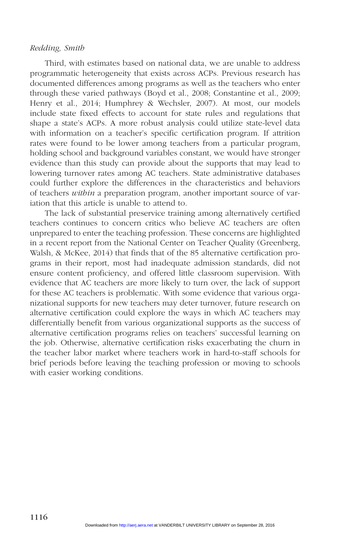Third, with estimates based on national data, we are unable to address programmatic heterogeneity that exists across ACPs. Previous research has documented differences among programs as well as the teachers who enter through these varied pathways (Boyd et al., 2008; Constantine et al., 2009; Henry et al., 2014; Humphrey & Wechsler, 2007). At most, our models include state fixed effects to account for state rules and regulations that shape a state's ACPs. A more robust analysis could utilize state-level data with information on a teacher's specific certification program. If attrition rates were found to be lower among teachers from a particular program, holding school and background variables constant, we would have stronger evidence than this study can provide about the supports that may lead to lowering turnover rates among AC teachers. State administrative databases could further explore the differences in the characteristics and behaviors of teachers within a preparation program, another important source of variation that this article is unable to attend to.

The lack of substantial preservice training among alternatively certified teachers continues to concern critics who believe AC teachers are often unprepared to enter the teaching profession. These concerns are highlighted in a recent report from the National Center on Teacher Quality (Greenberg, Walsh, & McKee, 2014) that finds that of the 85 alternative certification programs in their report, most had inadequate admission standards, did not ensure content proficiency, and offered little classroom supervision. With evidence that AC teachers are more likely to turn over, the lack of support for these AC teachers is problematic. With some evidence that various organizational supports for new teachers may deter turnover, future research on alternative certification could explore the ways in which AC teachers may differentially benefit from various organizational supports as the success of alternative certification programs relies on teachers' successful learning on the job. Otherwise, alternative certification risks exacerbating the churn in the teacher labor market where teachers work in hard-to-staff schools for brief periods before leaving the teaching profession or moving to schools with easier working conditions.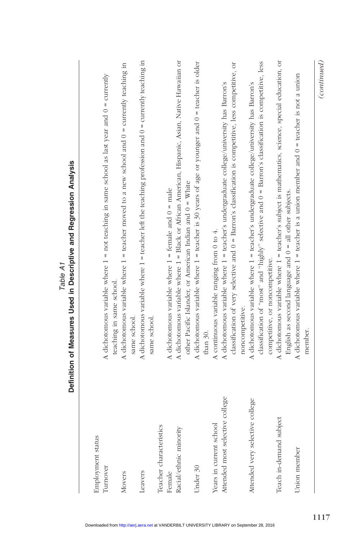|                                 | Definition of Measures Used in Descriptive and Regression Analysis<br>ו מגטופ רו                                                                                                                                                      |
|---------------------------------|---------------------------------------------------------------------------------------------------------------------------------------------------------------------------------------------------------------------------------------|
| Employment status               |                                                                                                                                                                                                                                       |
| Turnover                        | A dichotomous variable where $1 =$ not teaching in same school as last year and $0 =$ currently                                                                                                                                       |
| Movers                          | A dichotomous variable where $1$ = teacher moved to a new school and $0$ = currently teaching in<br>teaching in same school.<br>same school.                                                                                          |
| Leavers                         | A dichotomous variable where 1 = teacher left the teaching profession and 0 = currently teaching in<br>same school.                                                                                                                   |
| Teacher characteristics         |                                                                                                                                                                                                                                       |
| Female                          | A dichotomous variable where $1$ = female and $0$ = male                                                                                                                                                                              |
| Racial/ethnic minority          | A dichotomous variable where 1 = Black or African American, Hispanic, Asian, Native Hawaiian or<br>other Pacific Islander, or American Indian and $0 =$ White                                                                         |
| Under 30                        | A dichotomous variable where $1 =$ teacher is 30 years of age or younger and $0 =$ teacher is older<br>than 30.                                                                                                                       |
| Years in current school         | A continuous variable ranging from 0 to 4.                                                                                                                                                                                            |
| Attended most selective college | classification of very selective and 0 = Barron's classification is competitive, less competitive, or<br>A dichotomous variable where 1 = teacher's undergraduate college/university has Barron's<br>noncompetitive.                  |
| Attended very selective college | classification of "most" and "highly" selective and $0 =$ Barron's classification is competitive, less<br>A dichotomous variable where 1 = teacher's undergraduate college/university has Barron's<br>competitive, or noncompetitive. |
| Teach in-demand subject         | A dichotomous variable where 1 = teacher's subject is mathematics, science, special education, or<br>English as second language and $0 =$ all other subjects.                                                                         |
| Union member                    | A dichotomous variable where $1 =$ teacher is a union member and $0 =$ teacher is not a union<br>member.                                                                                                                              |
|                                 | (continued)                                                                                                                                                                                                                           |

Table A1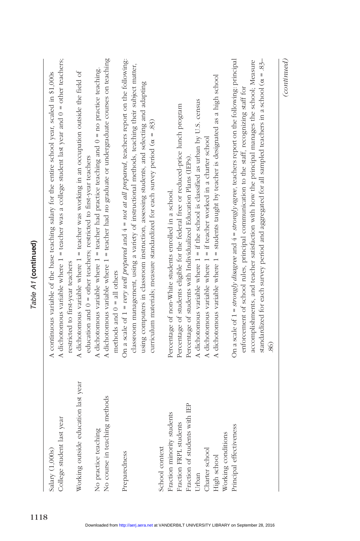| Salary (1,000s)                     | A continuous variable of the base teaching salary for the entire school year, scaled in \$1,008                                                                                                                                                                                                                                                                                                                                                                                 |
|-------------------------------------|---------------------------------------------------------------------------------------------------------------------------------------------------------------------------------------------------------------------------------------------------------------------------------------------------------------------------------------------------------------------------------------------------------------------------------------------------------------------------------|
| year<br>College student last        | A dichotomous variable where $1$ = teacher was a college student last year and $0$ = other teachers;<br>restricted to first-year teachers                                                                                                                                                                                                                                                                                                                                       |
| Working outside education last year | A dichotomous variable where 1 = teacher was working in an occupation outside the field of<br>education and $0 =$ other teachers; restricted to first-year teachers                                                                                                                                                                                                                                                                                                             |
| No practice teaching                | A dichotomous variable where $1$ = teacher had practice teaching and $0$ = no practice teaching.                                                                                                                                                                                                                                                                                                                                                                                |
| No course in teaching methods       | A dichotomous variable where 1 = teacher had no graduate or undergraduate courses on teaching<br>methods and $0 =$ all others                                                                                                                                                                                                                                                                                                                                                   |
| Preparedness                        | On a scale of $1 = vey$ well prepared and $4 = not$ at all prepared, teachers report on the following:                                                                                                                                                                                                                                                                                                                                                                          |
|                                     | classroom management, using a variety of instructional methods, teaching their subject matter,<br>using computers in classroom instruction, assessing students, and selecting and adapting<br>curriculum materials; measure standardized for each survey period $(\alpha = .83)$                                                                                                                                                                                                |
| School context                      |                                                                                                                                                                                                                                                                                                                                                                                                                                                                                 |
| Fraction minority students          | Percentage of non-White students enrolled in a school.                                                                                                                                                                                                                                                                                                                                                                                                                          |
| Fraction FRPL students              | Percentage of students eligible for the federal free or reduced-price lunch program                                                                                                                                                                                                                                                                                                                                                                                             |
| Fraction of students with IEP       | Percentage of students with Individualized Education Plans (IEPs).                                                                                                                                                                                                                                                                                                                                                                                                              |
| Urban                               | A dichotomous variable where $1 =$ if the school is classified as urban by U.S. census                                                                                                                                                                                                                                                                                                                                                                                          |
| Charter school                      | A dichotomous variable where $1 =$ if teacher worked in a charter school                                                                                                                                                                                                                                                                                                                                                                                                        |
| Working conditions<br>High school   | A dichotomous variable where 1 = students taught by teacher is designated as a high school                                                                                                                                                                                                                                                                                                                                                                                      |
|                                     |                                                                                                                                                                                                                                                                                                                                                                                                                                                                                 |
| Principal effectiveness             | On a scale of $1 = \frac{\text{strongly}}{\text{disagree}}$ and $4 = \frac{\text{strongly} \text{ agree}}{\text{degree}}$ , reachers report on the following: principal<br>standardized for each survey period and aggregated for all sampled teachers in a school (a = .83-<br>accomplishments, and teacher satisfaction with how the principal manages the school; Measure<br>enforcement of school rules, principal communication to the staff, recognizing staff for<br>86) |
|                                     | (continued)                                                                                                                                                                                                                                                                                                                                                                                                                                                                     |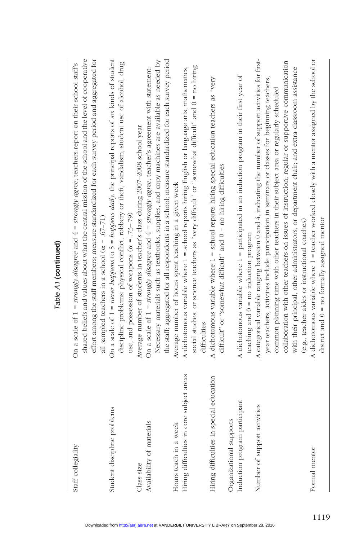|                                                                    | Table A1 (continued)                                                                                                                                                                                                                                                                                                                                                                                                           |
|--------------------------------------------------------------------|--------------------------------------------------------------------------------------------------------------------------------------------------------------------------------------------------------------------------------------------------------------------------------------------------------------------------------------------------------------------------------------------------------------------------------|
| Staff collegiality                                                 | effort among the staff members; measure standardized for each survey period and aggregated for<br>shared beliefs and values about what the central mission of the school and the level of cooperative<br>On a scale of $1 = \frac{\text{strongly}}{\text{diag}$ disagree and $4 = \frac{\text{strongly}}{\text{age}}$ agree, teachers report on their school staff's<br>all sampled teachers in a school ( $\alpha = .67-71$ ) |
| Student discipline problems                                        | On a scale of $1 =$ <i>never happens</i> to $5 =$ <i>happens daily</i> , the principal reports of six kinds of student<br>discipline problems: physical conflict, robbery or theft, vandalism, student use of alcohol, drug<br>use, and possession of weapons ( $\alpha = .73-.79$ )                                                                                                                                           |
| Availability of materials<br>Class size                            | On a scale of $1 =$ strongly disagree and $4 =$ strongly agree, teacher's agreement with statement:<br>Average number of students in teacher's class during 2007-2008 school year                                                                                                                                                                                                                                              |
|                                                                    | the staff; aggregated for all respondents in a school; measure standardized for each survey period<br>Necessary materials such as textbooks, supplies, and copy machines are available as needed by                                                                                                                                                                                                                            |
| Hiring difficulties in core subject areas<br>Hours teach in a week | A dichotomous variable where 1 = school reports hiring English or language arts, mathematics,<br>Average number of hours spent teaching in a given week                                                                                                                                                                                                                                                                        |
|                                                                    | social studies, or science teachers as "very difficult" or "somewhat difficult" and $0 =$ no hiring<br>difficulties                                                                                                                                                                                                                                                                                                            |
| special education<br>Hiring difficulties in                        | A dichotomous variable where 1 = school reports hiring special education teachers as "very<br>difficult" or "somewhat difficult" and $0 =$ no hiring difficulties                                                                                                                                                                                                                                                              |
| Organizational supports                                            |                                                                                                                                                                                                                                                                                                                                                                                                                                |
| participant<br>Induction program                                   | A dichotomous variable where $1 =$ participated in an induction program in their first year of<br>teaching and $0 =$ no induction program                                                                                                                                                                                                                                                                                      |
| activities<br>Number of support                                    | A categorical variable ranging between 0 and 4, indicating the number of support activities for first-<br>year teachers; activities include participation in seminars or classes for beginning teachers;<br>common planning time with other teachers in their subject area or regularly scheduled                                                                                                                              |
|                                                                    | collaboration with other teachers on issues of instruction; regular or supportive communication<br>with their principal, other administrators, or department chair; and extra classroom assistance<br>(e.g., teacher aides or instructional coaches)                                                                                                                                                                           |
| Formal mentor                                                      | A dichotomous variable where 1 = teacher worked closely with a mentor assigned by the school or<br>district and $0 =$ no formally assigned mentor                                                                                                                                                                                                                                                                              |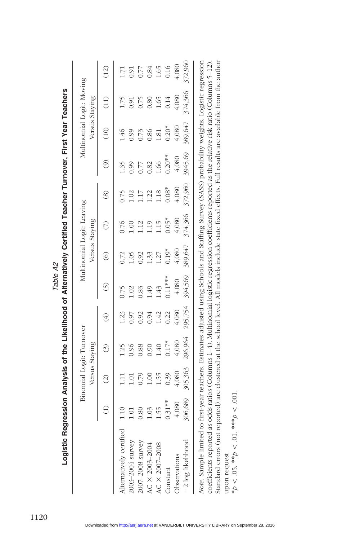|                         |          |                        | Binomial Logit: Turnover<br>Versus Staying |             |                          | Multinomial Logit: Leaving | Versus Staying |                |          | Multinomial Logit: Moving | Versus Staying                     |         |
|-------------------------|----------|------------------------|--------------------------------------------|-------------|--------------------------|----------------------------|----------------|----------------|----------|---------------------------|------------------------------------|---------|
|                         |          | $\widehat{\mathbb{C}}$ | $\odot$                                    | $\bigoplus$ | $\widehat{\mathfrak{c}}$ | $\widehat{c}$              |                | $\circledast$  | ି        | (10)                      | $\begin{pmatrix} 11 \end{pmatrix}$ | (12)    |
| Alternatively certified |          |                        |                                            | 1.23        | 0.75                     | 0.72                       | 0.76           | 0.75           | 135      | 951                       | 1.75                               |         |
| 2003-2004 survey        |          |                        | 0.96                                       | 0.97        |                          | $-1.05$                    |                |                | 99       | 0.99                      | 5.0                                | 0.91    |
| $2007 - 2008$ survey    | 0.80     |                        |                                            | 92          |                          | 0.92                       |                |                |          |                           | 0.75                               | 0.77    |
| AC $\times 2003 - 2004$ |          |                        | $\frac{8}{2}$                              | ).94        | $\ddot{\varphi}$         | .33                        |                | .22            | .82      | 0.86                      | 0.80                               | 0.84    |
| AC $\times 2007 - 2008$ | 1.55     |                        | 1.40                                       | 1.42        | $\ddot{43}$              | 1.27                       | 15             | $\frac{8}{10}$ | 66       | <u>i 81</u>               | 1.65                               | 1.65    |
| Constant                | $0.31**$ | 0.39                   | $0.17*$                                    | 0.22        | $0.11***$                | $0.19*$                    | $0.05*$        | $0.08*$        | $0.20**$ | $0.20*$                   | 0.14                               | 0.16    |
| Observations            | 4,080    | 4,080                  | 4,080                                      | 4,080       | 4,080                    | 4,080                      | 4,080          | 4,080          | 4,080    | 4,080                     | 4,080                              | 1,080   |
| -2 log likelihood       | 306,689  | 305,363                | 296,964                                    | 295,754     | 394,569                  | 389,647                    | 374,366        | 372,960        | 3945,69  | 389,647                   | 374,366                            | 372,960 |

Logistic Regression Analysis of the Likelihood of Alternatively Certified Teacher Turnover, First Year Teachers Logistic Regression Analysis of the Likelihood of Alternatively Certified Teacher Turnover, First Year Teachers Table A2 Table A2

Standard errors (not reported) are clustered at the school level. All models include state fixed effects. Full results are available from the author Note. Sample limited to first-year teachers. Estimates adjusted using Schools and Staffing Survey (SASS) probability weights. Logistic regression Standard errors (not reported) are clustered at the school level. All models include state fixed effects. Full results are available from the author coefficients reported as odds ratios (Columns 1–4). Multinomial logistic regression coefficients reported as the relative risk ratio (Columns 5–12). upon request.

\*<sup>p</sup>  $\,<\,05. *p$ \ $\leq 0.01$ . \*\*\**p*  $\leq$  .001.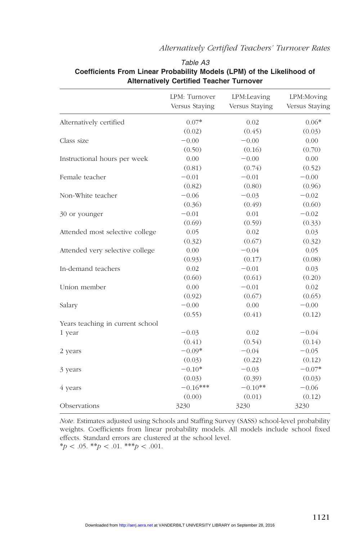## Alternatively Certified Teachers' Turnover Rates

|                                  | LPM: Turnover<br>Versus Staying | LPM:Leaving<br>Versus Staying | LPM:Moving<br>Versus Staying |
|----------------------------------|---------------------------------|-------------------------------|------------------------------|
| Alternatively certified          | $0.07*$                         | 0.02                          | $0.06*$                      |
|                                  | (0.02)                          | (0.45)                        | (0.03)                       |
| Class size                       | $-0.00$                         | $-0.00$                       | 0.00                         |
|                                  | (0.50)                          | (0.16)                        | (0.70)                       |
| Instructional hours per week     | 0.00                            | $-0.00$                       | 0.00                         |
|                                  | (0.81)                          | (0.74)                        | (0.52)                       |
| Female teacher                   | $-0.01$                         | $-0.01$                       | $-0.00$                      |
|                                  | (0.82)                          | (0.80)                        | (0.96)                       |
| Non-White teacher                | $-0.06$                         | $-0.03$                       | $-0.02$                      |
|                                  | (0.36)                          | (0.49)                        | (0.60)                       |
| 30 or younger                    | $-0.01$                         | 0.01                          | $-0.02$                      |
|                                  | (0.69)                          | (0.59)                        | (0.33)                       |
| Attended most selective college  | 0.05                            | 0.02                          | 0.03                         |
|                                  | (0.32)                          | (0.67)                        | (0.32)                       |
| Attended very selective college  | 0.00                            | $-0.04$                       | 0.05                         |
|                                  | (0.93)                          | (0.17)                        | (0.08)                       |
| In-demand teachers               | 0.02                            | $-0.01$                       | 0.03                         |
|                                  | (0.60)                          | (0.61)                        | (0.20)                       |
| Union member                     | 0.00                            | $-0.01$                       | 0.02                         |
|                                  | (0.92)                          | (0.67)                        | (0.65)                       |
| Salary                           | $-0.00$                         | 0.00                          | $-0.00$                      |
|                                  | (0.55)                          | (0.41)                        | (0.12)                       |
| Years teaching in current school |                                 |                               |                              |
| 1 year                           | $-0.03$                         | 0.02                          | $-0.04$                      |
|                                  | (0.41)                          | (0.54)                        | (0.14)                       |
| 2 years                          | $-0.09*$                        | $-0.04$                       | $-0.05$                      |
|                                  | (0.03)                          | (0.22)                        | (0.12)                       |
| 3 years                          | $-0.10*$                        | $-0.03$                       | $-0.07*$                     |
|                                  | (0.03)                          | (0.39)                        | (0.03)                       |
| 4 years                          | $-0.16***$                      | $-0.10**$                     | $-0.06$                      |
|                                  | (0.00)                          | (0.01)                        | (0.12)                       |
| Observations                     | 3230                            | 3230                          | 3230                         |

## Table A3 Coefficients From Linear Probability Models (LPM) of the Likelihood of Alternatively Certified Teacher Turnover

Note. Estimates adjusted using Schools and Staffing Survey (SASS) school-level probability weights. Coefficients from linear probability models. All models include school fixed effects. Standard errors are clustered at the school level.  $*p < .05.$   $*^*p < .01.$   $*^*p < .001.$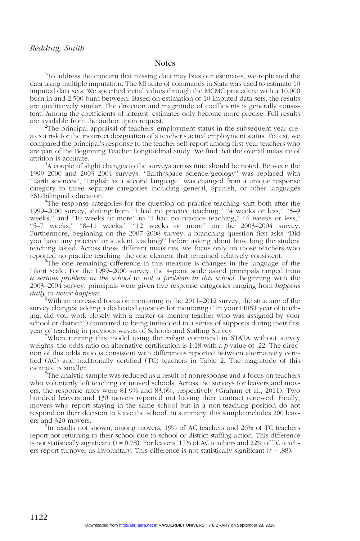#### **Notes**

<sup>1</sup>To address the concern that missing data may bias our estimates, we replicated the data using multiple imputation. The MI suite of commands in Stata was used to estimate 10 imputed data sets. We specified initial values through the MCMC procedure with a 10,000 burn in and 2,500 burn between. Based on estimation of 10 imputed data sets, the results are qualitatively similar. The direction and magnitude of coefficients is generally consistent. Among the coefficients of interest, estimates only become more precise. Full results are available from the author upon request.

 $T$ The principal appraisal of teachers' employment status in the subsequent year creates a risk for the incorrect designation of a teacher's actual employment status. To test, we compared the principal's response to the teacher self-report among first-year teachers who are part of the Beginning Teacher Longitudinal Study. We find that the overall measure of attrition is accurate.

 $A<sup>3</sup>A$  couple of slight changes to the surveys across time should be noted. Between the 1999–2000 and 2003–2004 surveys, ''Earth/space science/geology'' was replaced with ''Earth sciences''; ''English as a second language'' was changed from a unique response category to three separate categories including general, Spanish, or other languages ESL/bilingual education. <sup>4</sup>

The response categories for the question on practice teaching shift both after the 1999–2000 survey, shifting from ''I had no practice teaching,'' ''4 weeks or less,'' ''5–9 weeks," and "10 weeks or more" to "I had no practice teaching," "4 weeks or less," "5–7 weeks," "8–11 weeks," "12 weeks or more" on the  $2003-2004$  survey. Furthermore, beginning on the 2007–2008 survey, a branching question first asks ''Did you have any practice or student teaching?'' before asking about how long the student teaching lasted. Across these different measures, we focus only on those teachers who reported no practice teaching, the one element that remained relatively consistent.

The one remaining difference in this measure is changes in the language of the Likert scale. For the 1999–2000 survey, the 4-point scale asked principals ranged from a serious problem in the school to not a problem in this school. Beginning with the 2003–2004 survey, principals were given five response categories ranging from happens daily to never happens.

 $\alpha$ <sup>6</sup>With an increased focus on mentoring in the 2011–2012 survey, the structure of the survey changes, adding a dedicated question for mentoring (''In your FIRST year of teaching, did you work closely with a master or mentor teacher who was assigned by your school or district?'') compared to being imbedded in a series of supports during their first year of teaching in previous waves of Schools and Staffing Survey.

When running this model using the *xtlogit* command in STATA without survey weights, the odds ratio on alternative certification is  $1.18$  with a p value of .22. The direction of this odds ratio is consistent with differences reported between alternatively certified (AC) and traditionally certified (TC) teachers in Table 2. The magnitude of this estimate is smaller.

 ${}^{8}$ The analytic sample was reduced as a result of nonresponse and a focus on teachers who voluntarily left teaching or moved schools. Across the surveys for leavers and movers, the response rates were 81.9% and 83.6%, respectively (Graham et al., 2011). Two hundred leavers and 130 movers reported not having their contract renewed. Finally, movers who report staying in the same school but in a non-teaching position do not respond on their decision to leave the school. In summary, this sample includes 200 leavers and 320 movers.

 $9$ In results not shown, among movers, 19% of AC teachers and 26% of TC teachers report not returning to their school due to school or district staffing action. This difference is not statistically significant ( $t = 0.78$ ). For leavers, 17% of AC teachers and 22% of TC teachers report turnover as involuntary. This difference is not statistically significant  $(t = .88)$ .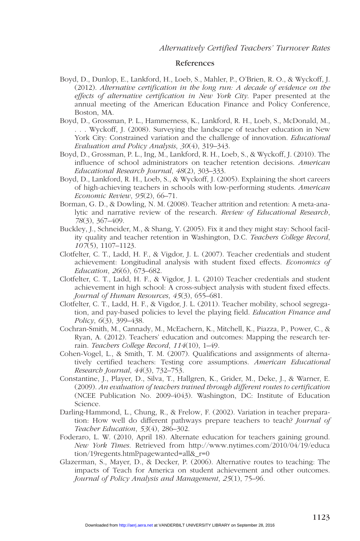## References

- Boyd, D., Dunlop, E., Lankford, H., Loeb, S., Mahler, P., O'Brien, R. O., & Wyckoff, J. (2012). Alternative certification in the long run: A decade of evidence on the effects of alternative certification in New York City. Paper presented at the annual meeting of the American Education Finance and Policy Conference, Boston, MA.
- Boyd, D., Grossman, P. L., Hammerness, K., Lankford, R. H., Loeb, S., McDonald, M., . . . Wyckoff, J. (2008). Surveying the landscape of teacher education in New York City: Constrained variation and the challenge of innovation. *Educational* Evaluation and Policy Analysis, 30(4), 319–343.
- Boyd, D., Grossman, P. L., Ing, M., Lankford, R. H., Loeb, S., & Wyckoff, J. (2010). The influence of school administrators on teacher retention decisions. American Educational Research Journal, 48(2), 303–333.
- Boyd, D., Lankford, R. H., Loeb, S., & Wyckoff, J. (2005). Explaining the short careers of high-achieving teachers in schools with low-performing students. American Economic Review, 95(2), 66–71.
- Borman, G. D., & Dowling, N. M. (2008). Teacher attrition and retention: A meta-analytic and narrative review of the research. Review of Educational Research, 78(3), 367–409.
- Buckley, J., Schneider, M., & Shang, Y. (2005). Fix it and they might stay: School facility quality and teacher retention in Washington, D.C. Teachers College Record, 107(5), 1107–1123.
- Clotfelter, C. T., Ladd, H. F., & Vigdor, J. L. (2007). Teacher credentials and student achievement: Longitudinal analysis with student fixed effects. Economics of Education, 26(6), 673–682.
- Clotfelter, C. T., Ladd, H. F., & Vigdor, J. L. (2010) Teacher credentials and student achievement in high school: A cross-subject analysis with student fixed effects. Journal of Human Resources, 45(3), 655–681.
- Clotfelter, C. T., Ladd, H. F., & Vigdor, J. L. (2011). Teacher mobility, school segregation, and pay-based policies to level the playing field. Education Finance and Policy, 6(3), 399–438.
- Cochran-Smith, M., Cannady, M., McEachern, K., Mitchell, K., Piazza, P., Power, C., & Ryan, A. (2012). Teachers' education and outcomes: Mapping the research terrain. Teachers College Record, 114(10), 1–49.
- Cohen-Vogel, L., & Smith, T. M. (2007). Qualifications and assignments of alternatively certified teachers: Testing core assumptions. American Educational Research Journal, 44(3), 732–753.
- Constantine, J., Player, D., Silva, T., Hallgren, K., Grider, M., Deke, J., & Warner, E. (2009). An evaluation of teachers trained through different routes to certification (NCEE Publication No. 2009-4043). Washington, DC: Institute of Education Science.
- Darling-Hammond, L., Chung, R., & Frelow, F. (2002). Variation in teacher preparation: How well do different pathways prepare teachers to teach? Journal of Teacher Education, 53(4), 286–302.
- Foderaro, L. W. (2010, April 18). Alternate education for teachers gaining ground. New York Times[. Retrieved from http://www.nytimes.com/2010/04/19/educa](http://www.nytimes.com/2010/04/19/education/19regents.html?pagewanted=all&_r=0) tion/19regents.html?pagewanted=all&\_r=0
- Glazerman, S., Mayer, D., & Decker, P. (2006). Alternative routes to teaching: The impacts of Teach for America on student achievement and other outcomes. Journal of Policy Analysis and Management, 25(1), 75–96.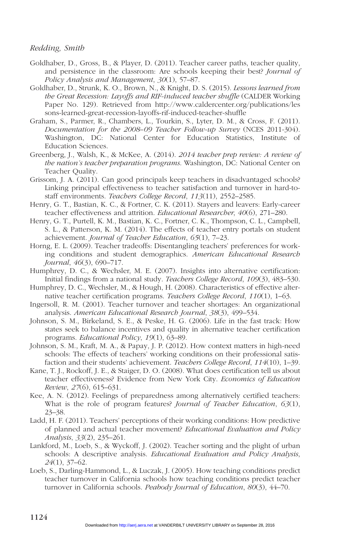- Goldhaber, D., Gross, B., & Player, D. (2011). Teacher career paths, teacher quality, and persistence in the classroom: Are schools keeping their best? Journal of Policy Analysis and Management, 30(1), 57–87.
- Goldhaber, D., Strunk, K. O., Brown, N., & Knight, D. S. (2015). Lessons learned from the Great Recession: Layoffs and RIF-induced teacher shuffle (CALDER Working [Paper No. 129\). Retrieved from http://www.caldercenter.org/publications/les](http://www.caldercenter.org/publications/lessons-learned-great-recession-layoffs-rif-induced-teacher-shuffle) sons-learned-great-recession-layoffs-rif-induced-teacher-shuffle
- Graham, S., Parmer, R., Chambers, L., Tourkin, S., Lyter, D. M., & Cross, F. (2011). Documentation for the 2008–09 Teacher Follow-up Survey (NCES 2011-304). Washington, DC: National Center for Education Statistics, Institute of Education Sciences.
- Greenberg, J., Walsh, K., & McKee, A. (2014). 2014 teacher prep review: A review of the nation's teacher preparation programs. Washington, DC: National Center on Teacher Quality.
- Grissom, J. A. (2011). Can good principals keep teachers in disadvantaged schools? Linking principal effectiveness to teacher satisfaction and turnover in hard-tostaff environments. Teachers College Record, 113(11), 2552–2585.
- Henry, G. T., Bastian, K. C., & Fortner, C. K. (2011). Stayers and leavers: Early-career teacher effectiveness and attrition. Educational Researcher, 40(6), 271–280.
- Henry, G. T., Purtell, K. M., Bastian, K. C., Fortner, C. K., Thompson, C. L., Campbell, S. L., & Patterson, K. M. (2014). The effects of teacher entry portals on student achievement. Journal of Teacher Education, 65(1), 7–23.
- Horng, E. L. (2009). Teacher tradeoffs: Disentangling teachers' preferences for working conditions and student demographics. American Educational Research Journal, 46(3), 690–717.
- Humphrey, D. C., & Wechsler, M. E. (2007). Insights into alternative certification: Initial findings from a national study. Teachers College Record, 109(3), 483–530.
- Humphrey, D. C., Wechsler, M., & Hough, H. (2008). Characteristics of effective alternative teacher certification programs. Teachers College Record, 110(1), 1–63.
- Ingersoll, R. M. (2001). Teacher turnover and teacher shortages: An organizational analysis. American Educational Research Journal, 38(3), 499–534.
- Johnson, S. M., Birkeland, S. E., & Peske, H. G. (2006). Life in the fast track: How states seek to balance incentives and quality in alternative teacher certification programs. Educational Policy, 19(1), 63–89.
- Johnson, S. M., Kraft, M. A., & Papay, J. P. (2012). How context matters in high-need schools: The effects of teachers' working conditions on their professional satisfaction and their students' achievement. Teachers College Record, 114(10), 1–39.
- Kane, T. J., Rockoff, J. E., & Staiger, D. O. (2008). What does certification tell us about teacher effectiveness? Evidence from New York City. Economics of Education Review, 27(6), 615–631.
- Kee, A. N. (2012). Feelings of preparedness among alternatively certified teachers: What is the role of program features? *Journal of Teacher Education*, 63(1), 23–38.
- Ladd, H. F. (2011). Teachers' perceptions of their working conditions: How predictive of planned and actual teacher movement? Educational Evaluation and Policy Analysis, 33(2), 235–261.
- Lankford, M., Loeb, S., & Wyckoff, J. (2002). Teacher sorting and the plight of urban schools: A descriptive analysis. Educational Evaluation and Policy Analysis, 24(1), 37–62.
- Loeb, S., Darling-Hammond, L., & Luczak, J. (2005). How teaching conditions predict teacher turnover in California schools how teaching conditions predict teacher turnover in California schools. Peabody Journal of Education, 80(3), 44-70.